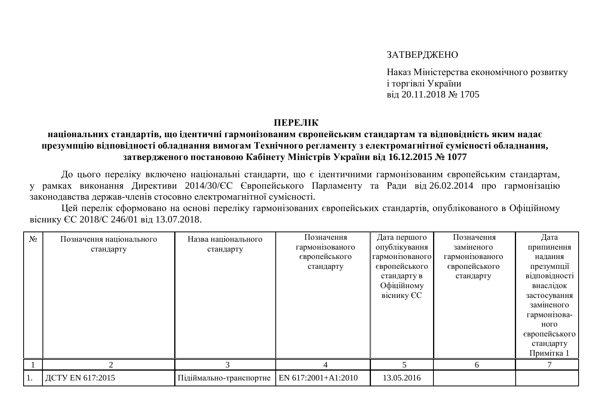## ЗАТВЕРДЖЕНО

Наказ Міністерства економічного розвитку *i* торгівлі України Bin 20.11.2018 <sub>N</sub> 1705

## **TIEPEJIK**

## національних стандартів, що ідентичні гармонізованим європейським стандартам та відповідність яким надає презумпцію відповідності обладнання вимогам Технічного регламенту з електромагнітної сумісності обладнання, ЗАТВЕРДЖЕНОГО ПОСТАНОВОЮ КАбінету Міністрів України від 16.12.2015 № 1077

До цього переліку включено національні стандарти, що є ідентичними гармонізованим європейським стандартам, у рамках виконання Директиви 2014/30/ЄС Європейського Парламенту та Ради від 26.02.2014 про гармонізацію законодавства держав-членів стосовно електромагнітної сумісності.

Цей перелік сформовано на основі переліку гармонізованих європейських стандартів, опублікованого в Офіційному віснику ЄС 2018/С 246/01 від 13.07.2018.

| $N_2$ | Позначення національного<br>стандарту | Назва національного<br>стандарту              | Позначення<br>гармонізованого<br>європейського<br>стандарту | Дата першого<br>опублікування<br>гармонізованого<br>європейського<br>стандарту в<br>Офіційному<br>віснику ЄС | Позначення<br>заміненого<br>гармонізованого<br>європейського<br>стандарту | Дата<br>припинення<br>надання<br>презумпції<br>відповідності<br>внаслідок<br>застосування<br>заміненого<br>гармонізова-<br>ного<br>європейського<br>стандарту<br>Примітка 1 |
|-------|---------------------------------------|-----------------------------------------------|-------------------------------------------------------------|--------------------------------------------------------------------------------------------------------------|---------------------------------------------------------------------------|-----------------------------------------------------------------------------------------------------------------------------------------------------------------------------|
|       |                                       |                                               |                                                             |                                                                                                              |                                                                           |                                                                                                                                                                             |
|       | ДСТУ EN 617:2015                      | Підіймально-транспортне   EN 617:2001+A1:2010 |                                                             | 13.05.2016                                                                                                   |                                                                           |                                                                                                                                                                             |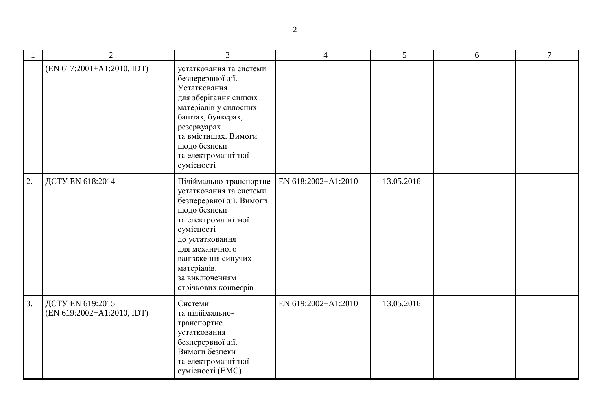|    | $\overline{2}$                                 | $\overline{3}$                                                                                                                                                                                                                                           | $\overline{4}$      | 5          | 6 | $\overline{7}$ |
|----|------------------------------------------------|----------------------------------------------------------------------------------------------------------------------------------------------------------------------------------------------------------------------------------------------------------|---------------------|------------|---|----------------|
|    | (EN 617:2001+A1:2010, IDT)                     | устатковання та системи<br>безперервної дії.<br>Устатковання<br>для зберігання сипких<br>матеріалів у силосних<br>баштах, бункерах,<br>резервуарах<br>та вмістищах. Вимоги<br>щодо безпеки<br>та електромагнітної<br>сумісності                          |                     |            |   |                |
| 2. | ДСТУ EN 618:2014                               | Підіймально-транспортне<br>устатковання та системи<br>безперервної дії. Вимоги<br>щодо безпеки<br>та електромагнітної<br>сумісності<br>до устатковання<br>для механічного<br>вантаження сипучих<br>матеріалів,<br>за виключенням<br>стрічкових конвесрів | EN 618:2002+A1:2010 | 13.05.2016 |   |                |
| 3. | ДСТУ EN 619:2015<br>(EN 619:2002+A1:2010, IDT) | Системи<br>та підіймально-<br>транспортне<br>устатковання<br>безперервної дії.<br>Вимоги безпеки<br>та електромагнітної<br>сумісності (ЕМС)                                                                                                              | EN 619:2002+A1:2010 | 13.05.2016 |   |                |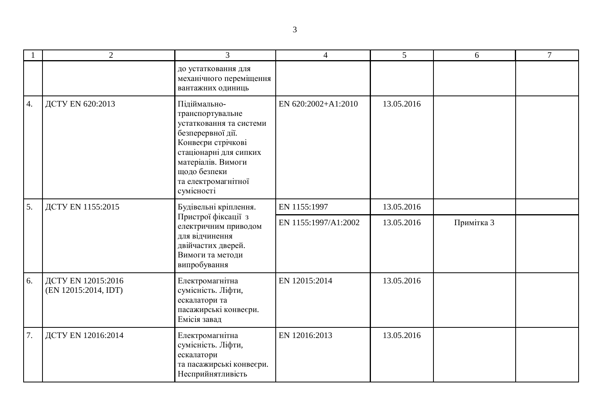|    | $\overline{2}$                             | 3                                                                                                                                                                                                           | $\overline{\mathcal{A}}$ | 5          | 6          | $\tau$ |
|----|--------------------------------------------|-------------------------------------------------------------------------------------------------------------------------------------------------------------------------------------------------------------|--------------------------|------------|------------|--------|
|    |                                            | до устатковання для<br>механічного переміщення<br>вантажних одиниць                                                                                                                                         |                          |            |            |        |
| 4. | ДСТУ EN 620:2013                           | Підіймально-<br>транспортувальне<br>устатковання та системи<br>безперервної дії.<br>Конвеєри стрічкові<br>стаціонарні для сипких<br>матеріалів. Вимоги<br>щодо безпеки<br>та електромагнітної<br>сумісності | EN 620:2002+A1:2010      | 13.05.2016 |            |        |
| 5. | ДСТУ EN 1155:2015                          | Будівельні кріплення.<br>Пристрої фіксації з<br>електричним приводом<br>для відчинення<br>двійчастих дверей.<br>Вимоги та методи<br>випробування                                                            | EN 1155:1997             | 13.05.2016 |            |        |
|    |                                            |                                                                                                                                                                                                             | EN 1155:1997/A1:2002     | 13.05.2016 | Примітка 3 |        |
| 6. | ДСТУ EN 12015:2016<br>(EN 12015:2014, IDT) | Електромагнітна<br>сумісність. Ліфти,<br>ескалатори та<br>пасажирські конвеєри.<br>Емісія завад                                                                                                             | EN 12015:2014            | 13.05.2016 |            |        |
| 7. | ДСТУ EN 12016:2014                         | Електромагнітна<br>сумісність. Ліфти,<br>ескалатори<br>та пасажирські конвеєри.<br>Несприйнятливість                                                                                                        | EN 12016:2013            | 13.05.2016 |            |        |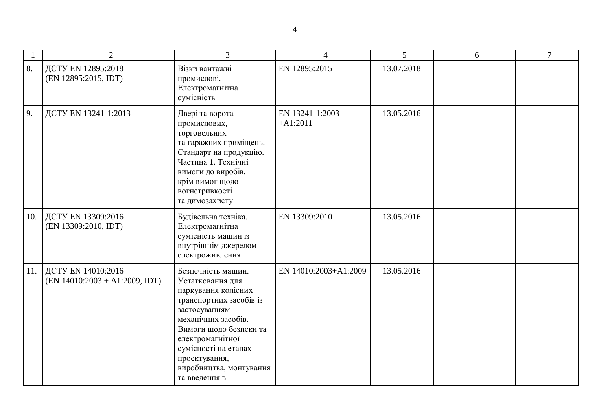|     | $\overline{2}$                                             | 3                                                                                                                                                                                                                                                                   | $\overline{4}$                | 5          | 6 | $\tau$ |
|-----|------------------------------------------------------------|---------------------------------------------------------------------------------------------------------------------------------------------------------------------------------------------------------------------------------------------------------------------|-------------------------------|------------|---|--------|
| 8.  | ДСТУ EN 12895:2018<br>(EN 12895:2015, IDT)                 | Візки вантажні<br>промислові.<br>Електромагнітна<br>сумісність                                                                                                                                                                                                      | EN 12895:2015                 | 13.07.2018 |   |        |
| 9.  | ДСТУ EN 13241-1:2013                                       | Двері та ворота<br>промислових,<br>торговельних<br>та гаражних приміщень.<br>Стандарт на продукцію.<br>Частина 1. Технічні<br>вимоги до виробів,<br>крім вимог щодо<br>вогнетривкості<br>та димозахисту                                                             | EN 13241-1:2003<br>$+A1:2011$ | 13.05.2016 |   |        |
| 10. | ДСТУ EN 13309:2016<br>(EN 13309:2010, IDT)                 | Будівельна техніка.<br>Електромагнітна<br>сумісність машин із<br>внутрішнім джерелом<br>електроживлення                                                                                                                                                             | EN 13309:2010                 | 13.05.2016 |   |        |
|     | 11. ДСТУ EN 14010:2016<br>$(EN 14010:2003 + A1:2009, IDT)$ | Безпечність машин.<br>Устатковання для<br>паркування колісних<br>транспортних засобів із<br>застосуванням<br>механічних засобів.<br>Вимоги щодо безпеки та<br>електромагнітної<br>сумісності на етапах<br>проектування,<br>виробництва, монтування<br>та введення в | EN 14010:2003+A1:2009         | 13.05.2016 |   |        |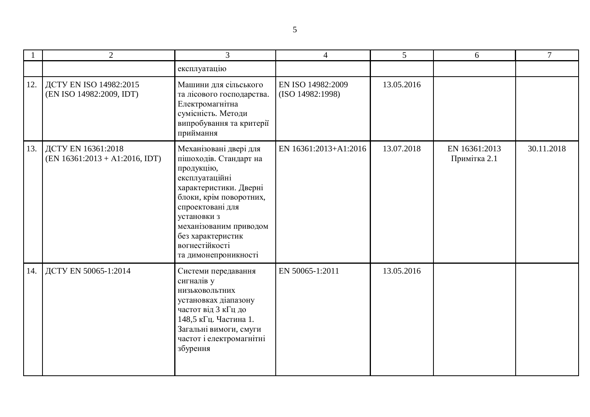|     | $\overline{2}$                                         | $\overline{3}$                                                                                                                                                                                                                                                    | $\overline{4}$                        | 5          | 6                             | 7          |
|-----|--------------------------------------------------------|-------------------------------------------------------------------------------------------------------------------------------------------------------------------------------------------------------------------------------------------------------------------|---------------------------------------|------------|-------------------------------|------------|
|     |                                                        | експлуатацію                                                                                                                                                                                                                                                      |                                       |            |                               |            |
| 12. | ДСТУ EN ISO 14982:2015<br>(EN ISO 14982:2009, IDT)     | Машини для сільського<br>та лісового господарства.<br>Електромагнітна<br>сумісність. Методи<br>випробування та критерії<br>приймання                                                                                                                              | EN ISO 14982:2009<br>(ISO 14982:1998) | 13.05.2016 |                               |            |
| 13. | ДСТУ EN 16361:2018<br>$(EN 16361:2013 + A1:2016, IDT)$ | Механізовані двері для<br>пішоходів. Стандарт на<br>продукцію,<br>експлуатаційні<br>характеристики. Дверні<br>блоки, крім поворотних,<br>спроектовані для<br>установки з<br>механізованим приводом<br>без характеристик<br>вогнестійкості<br>та димонепроникності | EN 16361:2013+A1:2016                 | 13.07.2018 | EN 16361:2013<br>Примітка 2.1 | 30.11.2018 |
| 14. | ДСТУ EN 50065-1:2014                                   | Системи передавання<br>сигналів у<br>НИЗЬКОВОЛЬТНИХ<br>установках діапазону<br>частот від 3 кГц до<br>148,5 кГц. Частина 1.<br>Загальні вимоги, смуги<br>частот і електромагнітні<br>збурення                                                                     | EN 50065-1:2011                       | 13.05.2016 |                               |            |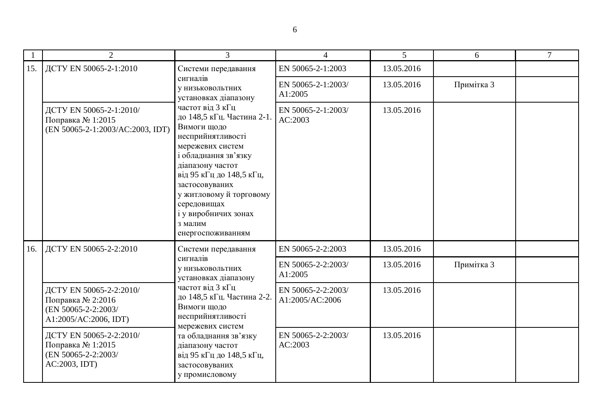|     | $\overline{2}$                                                                               | 3                                                                                                                                                                                                                                                                                                                                                          | $\overline{4}$                        | 5          | 6          | $\tau$ |
|-----|----------------------------------------------------------------------------------------------|------------------------------------------------------------------------------------------------------------------------------------------------------------------------------------------------------------------------------------------------------------------------------------------------------------------------------------------------------------|---------------------------------------|------------|------------|--------|
| 15. | ДСТУ EN 50065-2-1:2010                                                                       | Системи передавання                                                                                                                                                                                                                                                                                                                                        | EN 50065-2-1:2003                     | 13.05.2016 |            |        |
|     |                                                                                              | сигналів<br>У НИЗЬКОВОЛЬТНИХ<br>установках діапазону<br>частот від 3 кГц<br>до 148,5 кГц. Частина 2-1.<br>Вимоги щодо<br>несприйнятливості<br>мережевих систем<br>і обладнання зв'язку<br>діапазону частот<br>від 95 кГц до 148,5 кГц,<br>застосовуваних<br>у житловому й торговому<br>середовищах<br>і у виробничих зонах<br>з малим<br>енергоспоживанням | EN 50065-2-1:2003/<br>A1:2005         | 13.05.2016 | Примітка 3 |        |
|     | ДСТУ EN 50065-2-1:2010/<br>Поправка № 1:2015<br>(EN 50065-2-1:2003/AC:2003, IDT)             |                                                                                                                                                                                                                                                                                                                                                            | EN 50065-2-1:2003/<br>AC:2003         | 13.05.2016 |            |        |
| 16. | ДСТУ EN 50065-2-2:2010                                                                       | Системи передавання                                                                                                                                                                                                                                                                                                                                        | EN 50065-2-2:2003                     | 13.05.2016 |            |        |
|     |                                                                                              | сигналів<br>у низьковольтних<br>установках діапазону<br>частот від 3 кГц<br>до 148,5 кГц. Частина 2-2.<br>Вимоги щодо<br>несприйнятливості<br>мережевих систем<br>та обладнання зв'язку<br>діапазону частот<br>від 95 кГц до 148,5 кГц,<br>застосовуваних<br>у промисловому                                                                                | EN 50065-2-2:2003/<br>A1:2005         | 13.05.2016 | Примітка 3 |        |
|     | ДСТУ EN 50065-2-2:2010/<br>Поправка № 2:2016<br>(EN 50065-2-2:2003/<br>A1:2005/AC:2006, IDT) |                                                                                                                                                                                                                                                                                                                                                            | EN 50065-2-2:2003/<br>A1:2005/AC:2006 | 13.05.2016 |            |        |
|     | ДСТУ EN 50065-2-2:2010/<br>Поправка № 1:2015<br>(EN 50065-2-2:2003/<br>AC:2003, IDT)         |                                                                                                                                                                                                                                                                                                                                                            | EN 50065-2-2:2003/<br>AC:2003         | 13.05.2016 |            |        |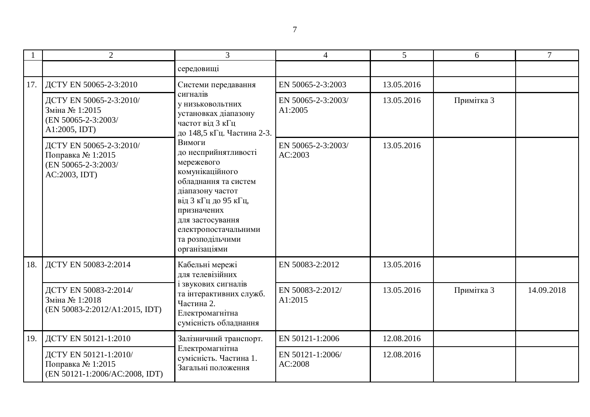|     | $\overline{2}$                                                                       | 3                                                                                                                                                                                                                                   | 4                             | $\overline{5}$ | 6          | $\overline{7}$ |
|-----|--------------------------------------------------------------------------------------|-------------------------------------------------------------------------------------------------------------------------------------------------------------------------------------------------------------------------------------|-------------------------------|----------------|------------|----------------|
|     |                                                                                      | середовищі                                                                                                                                                                                                                          |                               |                |            |                |
| 17. | ДСТУ EN 50065-2-3:2010                                                               | Системи передавання                                                                                                                                                                                                                 | EN 50065-2-3:2003             | 13.05.2016     |            |                |
|     | ДСТУ EN 50065-2-3:2010/<br>Зміна № 1:2015<br>(EN 50065-2-3:2003/<br>A1:2005, IDT)    | сигналів<br>у низьковольтних<br>установках діапазону<br>частот від 3 кГц<br>до 148,5 кГц. Частина 2-3.                                                                                                                              | EN 50065-2-3:2003/<br>A1:2005 | 13.05.2016     | Примітка 3 |                |
|     | ДСТУ EN 50065-2-3:2010/<br>Поправка № 1:2015<br>(EN 50065-2-3:2003/<br>AC:2003, IDT) | Вимоги<br>до несприйнятливості<br>мережевого<br>комунікаційного<br>обладнання та систем<br>діапазону частот<br>від 3 кГц до 95 кГц,<br>призначених<br>для застосування<br>електропостачальними<br>та розподільчими<br>організаціями | EN 50065-2-3:2003/<br>AC:2003 | 13.05.2016     |            |                |
| 18. | ДСТУ EN 50083-2:2014                                                                 | Кабельні мережі<br>для телевізійних                                                                                                                                                                                                 | EN 50083-2:2012               | 13.05.2016     |            |                |
|     | ДСТУ EN 50083-2:2014/<br>Зміна № 1:2018<br>(EN 50083-2:2012/A1:2015, IDT)            | і звукових сигналів<br>та інтерактивних служб.<br>Частина 2.<br>Електромагнітна<br>сумісність обладнання                                                                                                                            | EN 50083-2:2012/<br>A1:2015   | 13.05.2016     | Примітка 3 | 14.09.2018     |
| 19. | ДСТУ EN 50121-1:2010                                                                 | Залізничний транспорт.                                                                                                                                                                                                              | EN 50121-1:2006               | 12.08.2016     |            |                |
|     | ДСТУ EN 50121-1:2010/<br>Поправка № 1:2015<br>(EN 50121-1:2006/AC:2008, IDT)         | Електромагнітна<br>сумісність. Частина 1.<br>Загальні положення                                                                                                                                                                     | EN 50121-1:2006/<br>AC:2008   | 12.08.2016     |            |                |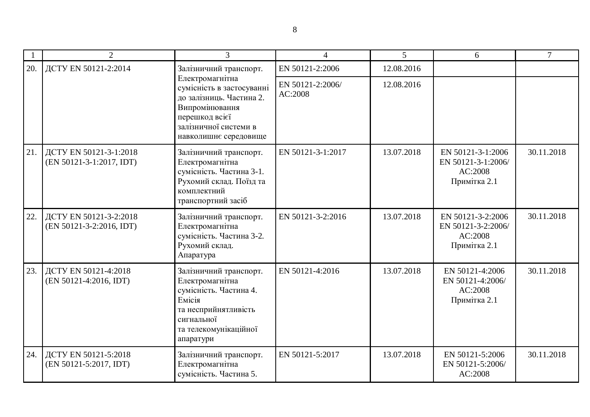|     | 2                                                  | 3                                                                                                                                                              | 4                           | 5          | 6                                                                  | 7          |
|-----|----------------------------------------------------|----------------------------------------------------------------------------------------------------------------------------------------------------------------|-----------------------------|------------|--------------------------------------------------------------------|------------|
| 20. | ДСТУ EN 50121-2:2014                               | Залізничний транспорт.                                                                                                                                         | EN 50121-2:2006             | 12.08.2016 |                                                                    |            |
|     |                                                    | Електромагнітна<br>сумісність в застосуванні<br>до залізниць. Частина 2.<br>Випромінювання<br>перешкод всієї<br>залізничної системи в<br>навколишнє середовище | EN 50121-2:2006/<br>AC:2008 | 12.08.2016 |                                                                    |            |
| 21. | ДСТУ EN 50121-3-1:2018<br>(EN 50121-3-1:2017, IDT) | Залізничний транспорт.<br>Електромагнітна<br>сумісність. Частина 3-1.<br>Рухомий склад. Поїзд та<br>комплектний<br>транспортний засіб                          | EN 50121-3-1:2017           | 13.07.2018 | EN 50121-3-1:2006<br>EN 50121-3-1:2006/<br>AC:2008<br>Примітка 2.1 | 30.11.2018 |
| 22. | ДСТУ EN 50121-3-2:2018<br>(EN 50121-3-2:2016, IDT) | Залізничний транспорт.<br>Електромагнітна<br>сумісність. Частина 3-2.<br>Рухомий склад.<br>Апаратура                                                           | EN 50121-3-2:2016           | 13.07.2018 | EN 50121-3-2:2006<br>EN 50121-3-2:2006/<br>AC:2008<br>Примітка 2.1 | 30.11.2018 |
| 23. | ДСТУ EN 50121-4:2018<br>(EN 50121-4:2016, IDT)     | Залізничний транспорт.<br>Електромагнітна<br>сумісність. Частина 4.<br>Емісія<br>та несприйнятливість<br>сигнальної<br>та телекомунікаційної<br>апаратури      | EN 50121-4:2016             | 13.07.2018 | EN 50121-4:2006<br>EN 50121-4:2006/<br>AC:2008<br>Примітка 2.1     | 30.11.2018 |
| 24. | ДСТУ EN 50121-5:2018<br>(EN 50121-5:2017, IDT)     | Залізничний транспорт.<br>Електромагнітна<br>сумісність. Частина 5.                                                                                            | EN 50121-5:2017             | 13.07.2018 | EN 50121-5:2006<br>EN 50121-5:2006/<br>AC:2008                     | 30.11.2018 |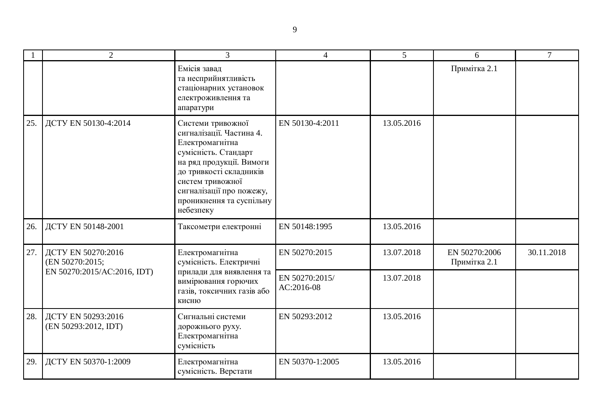|     | $\overline{2}$                             | 3                                                                                                                                                                                                                                        | $\overline{4}$               | 5          | 6                             | 7          |
|-----|--------------------------------------------|------------------------------------------------------------------------------------------------------------------------------------------------------------------------------------------------------------------------------------------|------------------------------|------------|-------------------------------|------------|
|     |                                            | Емісія завад<br>та несприйнятливість<br>стаціонарних установок<br>електроживлення та<br>апаратури                                                                                                                                        |                              |            | Примітка 2.1                  |            |
| 25. | ДСТУ EN 50130-4:2014                       | Системи тривожної<br>сигналізації. Частина 4.<br>Електромагнітна<br>сумісність. Стандарт<br>на ряд продукції. Вимоги<br>до тривкості складників<br>систем тривожної<br>сигналізації про пожежу,<br>проникнення та суспільну<br>небезпеку | EN 50130-4:2011              | 13.05.2016 |                               |            |
| 26. | ДСТУ EN 50148-2001                         | Таксометри електронні                                                                                                                                                                                                                    | EN 50148:1995                | 13.05.2016 |                               |            |
| 27. | ДСТУ EN 50270:2016<br>(EN 50270:2015;      | Електромагнітна<br>сумісність. Електричні                                                                                                                                                                                                | EN 50270:2015                | 13.07.2018 | EN 50270:2006<br>Примітка 2.1 | 30.11.2018 |
|     | EN 50270:2015/AC:2016, IDT)                | прилади для виявлення та<br>вимірювання горючих<br>газів, токсичних газів або<br>кисню                                                                                                                                                   | EN 50270:2015/<br>AC:2016-08 | 13.07.2018 |                               |            |
| 28. | ДСТУ EN 50293:2016<br>(EN 50293:2012, IDT) | Сигнальні системи<br>дорожнього руху.<br>Електромагнітна<br>сумісність                                                                                                                                                                   | EN 50293:2012                | 13.05.2016 |                               |            |
| 29. | ДСТУ EN 50370-1:2009                       | Електромагнітна<br>сумісність. Верстати                                                                                                                                                                                                  | EN 50370-1:2005              | 13.05.2016 |                               |            |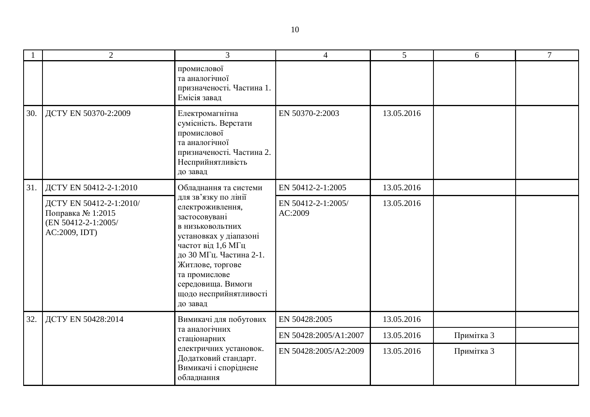|     | $\overline{2}$                                                                       | $\overline{3}$                                                                                                                                                                                                                                            | $\overline{4}$                | $5\overline{)}$ | 6          | $\tau$ |
|-----|--------------------------------------------------------------------------------------|-----------------------------------------------------------------------------------------------------------------------------------------------------------------------------------------------------------------------------------------------------------|-------------------------------|-----------------|------------|--------|
|     |                                                                                      | промислової<br>та аналогічної<br>призначеності. Частина 1.<br>Емісія завад                                                                                                                                                                                |                               |                 |            |        |
| 30. | ДСТУ EN 50370-2:2009                                                                 | Електромагнітна<br>сумісність. Верстати<br>промислової<br>та аналогічної<br>призначеності. Частина 2.<br>Несприйнятливість<br>до завад                                                                                                                    | EN 50370-2:2003               | 13.05.2016      |            |        |
| 31. | ДСТУ EN 50412-2-1:2010                                                               | Обладнання та системи                                                                                                                                                                                                                                     | EN 50412-2-1:2005             | 13.05.2016      |            |        |
|     | ДСТУ EN 50412-2-1:2010/<br>Поправка № 1:2015<br>(EN 50412-2-1:2005/<br>AC:2009, IDT) | для зв'язку по лінії<br>електроживлення,<br>застосовувані<br>в низьковольтних<br>установках у діапазоні<br>частот від 1,6 МГц<br>до 30 МГц. Частина 2-1.<br>Житлове, торгове<br>та промислове<br>середовища. Вимоги<br>щодо несприйнятливості<br>до завад | EN 50412-2-1:2005/<br>AC:2009 | 13.05.2016      |            |        |
| 32. | ДСТУ EN 50428:2014                                                                   | Вимикачі для побутових                                                                                                                                                                                                                                    | EN 50428:2005                 | 13.05.2016      |            |        |
|     |                                                                                      | та аналогічних<br>стаціонарних                                                                                                                                                                                                                            | EN 50428:2005/A1:2007         | 13.05.2016      | Примітка 3 |        |
|     |                                                                                      | електричних установок.<br>Додатковий стандарт.<br>Вимикачі і споріднене<br>обладнання                                                                                                                                                                     | EN 50428:2005/A2:2009         | 13.05.2016      | Примітка 3 |        |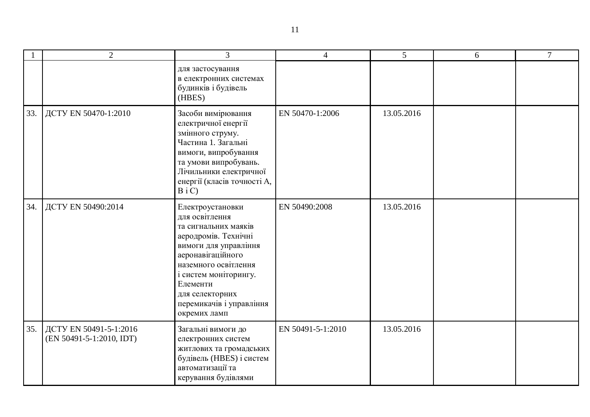|     | $\overline{2}$                                     | 3                                                                                                                                                                                                                                                            | $\overline{4}$    | 5          | 6 | $\overline{7}$ |
|-----|----------------------------------------------------|--------------------------------------------------------------------------------------------------------------------------------------------------------------------------------------------------------------------------------------------------------------|-------------------|------------|---|----------------|
|     |                                                    | для застосування<br>в електронних системах<br>будинків і будівель<br>(HBES)                                                                                                                                                                                  |                   |            |   |                |
| 33. | ДСТУ EN 50470-1:2010                               | Засоби вимірювання<br>електричної енергії<br>змінного струму.<br>Частина 1. Загальні<br>вимоги, випробування<br>та умови випробувань.<br>Лічильники електричної<br>енергії (класів точності А,<br>$B_i C$                                                    | EN 50470-1:2006   | 13.05.2016 |   |                |
| 34. | ДСТУ EN 50490:2014                                 | Електроустановки<br>для освітлення<br>та сигнальних маяків<br>аеродромів. Технічні<br>вимоги для управління<br>аеронавігаційного<br>наземного освітлення<br>і систем моніторингу.<br>Елементи<br>для селекторних<br>перемикачів і управління<br>окремих ламп | EN 50490:2008     | 13.05.2016 |   |                |
| 35. | ДСТУ EN 50491-5-1:2016<br>(EN 50491-5-1:2010, IDT) | Загальні вимоги до<br>електронних систем<br>житлових та громадських<br>будівель (HBES) і систем<br>автоматизації та<br>керування будівлями                                                                                                                   | EN 50491-5-1:2010 | 13.05.2016 |   |                |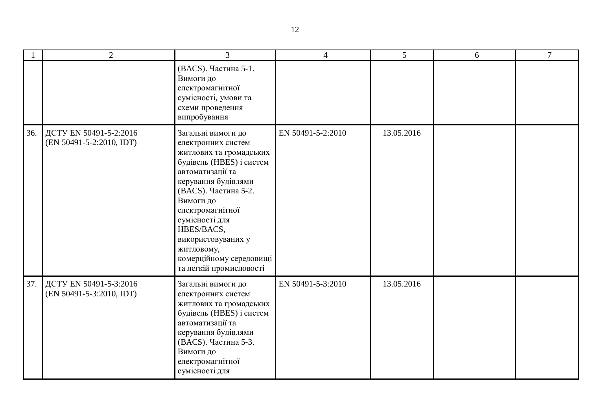|     | $\overline{2}$                                     | $\overline{3}$                                                                                                                                                                                                                                                                                                                | $\overline{4}$    | 5 <sup>5</sup> | 6 | $\overline{7}$ |
|-----|----------------------------------------------------|-------------------------------------------------------------------------------------------------------------------------------------------------------------------------------------------------------------------------------------------------------------------------------------------------------------------------------|-------------------|----------------|---|----------------|
|     |                                                    | (BACS). Частина 5-1.<br>Вимоги до<br>електромагнітної<br>сумісності, умови та<br>схеми проведення<br>випробування                                                                                                                                                                                                             |                   |                |   |                |
| 36. | ДСТУ EN 50491-5-2:2016<br>(EN 50491-5-2:2010, IDT) | Загальні вимоги до<br>електронних систем<br>житлових та громадських<br>будівель (HBES) і систем<br>автоматизації та<br>керування будівлями<br>(BACS). Частина 5-2.<br>Вимоги до<br>електромагнітної<br>сумісності для<br>HBES/BACS,<br>використовуваних у<br>житловому,<br>комерційному середовищі<br>та легкій промисловості | EN 50491-5-2:2010 | 13.05.2016     |   |                |
| 37. | ДСТУ EN 50491-5-3:2016<br>(EN 50491-5-3:2010, IDT) | Загальні вимоги до<br>електронних систем<br>житлових та громадських<br>будівель (HBES) і систем<br>автоматизації та<br>керування будівлями<br>(BACS). Частина 5-3.<br>Вимоги до<br>електромагнітної<br>сумісності для                                                                                                         | EN 50491-5-3:2010 | 13.05.2016     |   |                |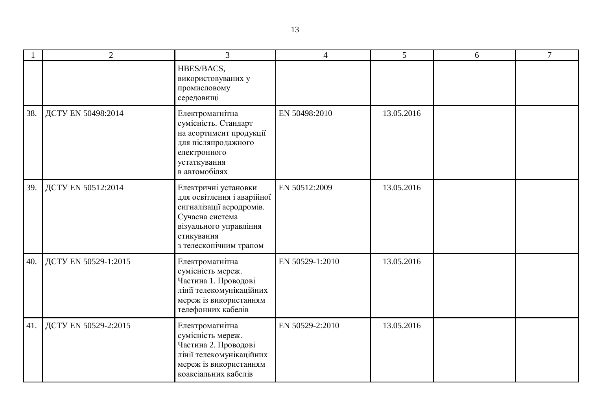|     | $\overline{2}$       | 3                                                                                                                                                                   | 4               | 5          | 6 | 7 |
|-----|----------------------|---------------------------------------------------------------------------------------------------------------------------------------------------------------------|-----------------|------------|---|---|
|     |                      | HBES/BACS,<br>використовуваних у<br>промисловому<br>середовищі                                                                                                      |                 |            |   |   |
| 38. | ДСТУ EN 50498:2014   | Електромагнітна<br>сумісність. Стандарт<br>на асортимент продукції<br>для післяпродажного<br>електронного<br>устаткування<br>в автомобілях                          | EN 50498:2010   | 13.05.2016 |   |   |
| 39. | ДСТУ EN 50512:2014   | Електричні установки<br>для освітлення і аварійної<br>сигналізації аеродромів.<br>Сучасна система<br>візуального управління<br>стикування<br>з телескопічним трапом | EN 50512:2009   | 13.05.2016 |   |   |
| 40. | ДСТУ EN 50529-1:2015 | Електромагнітна<br>сумісність мереж.<br>Частина 1. Проводові<br>лінії телекомунікаційних<br>мереж із використанням<br>телефонних кабелів                            | EN 50529-1:2010 | 13.05.2016 |   |   |
| 41. | ДСТУ EN 50529-2:2015 | Електромагнітна<br>сумісність мереж.<br>Частина 2. Проводові<br>лінії телекомунікаційних<br>мереж із використанням<br>коаксіальних кабелів                          | EN 50529-2:2010 | 13.05.2016 |   |   |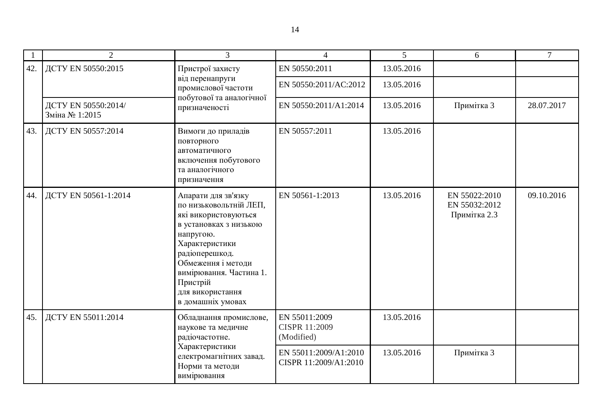|     | 2                                                                                        | 3                                                                                                                                                                                                                                                      |                                                     | 5          | 6                                              | $\tau$     |
|-----|------------------------------------------------------------------------------------------|--------------------------------------------------------------------------------------------------------------------------------------------------------------------------------------------------------------------------------------------------------|-----------------------------------------------------|------------|------------------------------------------------|------------|
| 42. | ДСТУ EN 50550:2015                                                                       | Пристрої захисту                                                                                                                                                                                                                                       | EN 50550:2011                                       | 13.05.2016 |                                                |            |
|     |                                                                                          | від перенапруги<br>промислової частоти<br>побутової та аналогічної                                                                                                                                                                                     | EN 50550:2011/AC:2012                               | 13.05.2016 |                                                |            |
|     | ДСТУ EN 50550:2014/<br>Зміна № 1:2015                                                    | призначеності                                                                                                                                                                                                                                          | EN 50550:2011/A1:2014                               | 13.05.2016 | Примітка 3                                     | 28.07.2017 |
| 43. | ДСТУ EN 50557:2014                                                                       | Вимоги до приладів<br>повторного<br>автоматичного<br>включення побутового<br>та аналогічного<br>призначення                                                                                                                                            | EN 50557:2011                                       | 13.05.2016 |                                                |            |
| 44. | ДСТУ EN 50561-1:2014                                                                     | Апарати для зв'язку<br>по низьковольтній ЛЕП,<br>які використовуються<br>в установках з низькою<br>напругою.<br>Характеристики<br>радіоперешкод.<br>Обмеження і методи<br>вимірювання. Частина 1.<br>Пристрій<br>для використання<br>в домашніх умовах | EN 50561-1:2013                                     | 13.05.2016 | EN 55022:2010<br>EN 55032:2012<br>Примітка 2.3 | 09.10.2016 |
| 45. | ДСТУ EN 55011:2014<br>радіочастотне.<br>Характеристики<br>Норми та методи<br>вимірювання | Обладнання промислове,<br>наукове та медичне                                                                                                                                                                                                           | EN 55011:2009<br><b>CISPR 11:2009</b><br>(Modified) | 13.05.2016 |                                                |            |
|     |                                                                                          | електромагнітних завад.                                                                                                                                                                                                                                | EN 55011:2009/A1:2010<br>CISPR 11:2009/A1:2010      | 13.05.2016 | Примітка 3                                     |            |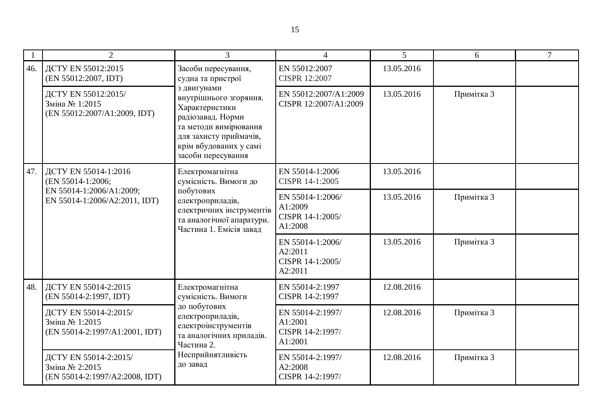|     | $\overline{2}$                                                                                                                                                                                                                                                          | 3                                                                                                                                                                                                                           | $\overline{4}$                                             | 5          | 6          | $\tau$ |
|-----|-------------------------------------------------------------------------------------------------------------------------------------------------------------------------------------------------------------------------------------------------------------------------|-----------------------------------------------------------------------------------------------------------------------------------------------------------------------------------------------------------------------------|------------------------------------------------------------|------------|------------|--------|
| 46. | ДСТУ EN 55012:2015<br>(EN 55012:2007, IDT)                                                                                                                                                                                                                              | Засоби пересування,<br>судна та пристрої<br>з двигунами<br>внутрішнього згоряння.<br>Характеристики<br>радіозавад. Норми<br>та методи вимірювання<br>для захисту приймачів,<br>крім вбудованих у самі<br>засоби пересування | EN 55012:2007<br><b>CISPR 12:2007</b>                      | 13.05.2016 |            |        |
|     | ДСТУ EN 55012:2015/<br>Зміна № 1:2015<br>(EN 55012:2007/A1:2009, IDT)                                                                                                                                                                                                   |                                                                                                                                                                                                                             | EN 55012:2007/A1:2009<br>CISPR 12:2007/A1:2009             | 13.05.2016 | Примітка 3 |        |
| 47. | ДСТУ EN 55014-1:2016<br>Електромагнітна<br>сумісність. Вимоги до<br>(EN 55014-1:2006;<br>EN 55014-1:2006/A1:2009;<br>побутових<br>EN 55014-1:2006/A2:2011, IDT)<br>електроприладів,<br>електричних інструментів<br>та аналогічної апаратури.<br>Частина 1. Емісія завад | EN 55014-1:2006<br>CISPR 14-1:2005                                                                                                                                                                                          | 13.05.2016                                                 |            |            |        |
|     |                                                                                                                                                                                                                                                                         | EN 55014-1:2006/<br>A1:2009<br>CISPR 14-1:2005/<br>A1:2008                                                                                                                                                                  | 13.05.2016                                                 | Примітка 3 |            |        |
|     |                                                                                                                                                                                                                                                                         |                                                                                                                                                                                                                             | EN 55014-1:2006/<br>A2:2011<br>CISPR 14-1:2005/<br>A2:2011 | 13.05.2016 | Примітка 3 |        |
| 48. | ДСТУ EN 55014-2:2015<br>(EN 55014-2:1997, IDT)                                                                                                                                                                                                                          | Електромагнітна<br>сумісність. Вимоги                                                                                                                                                                                       | EN 55014-2:1997<br>CISPR 14-2:1997                         | 12.08.2016 |            |        |
|     | ДСТУ EN 55014-2:2015/<br>Зміна № 1:2015<br>(EN 55014-2:1997/A1:2001, IDT)                                                                                                                                                                                               | до побутових<br>електроприладів,<br>електроінструментів<br>та аналогічних приладів.<br>Частина 2.<br>Несприйнятливість<br>до завад                                                                                          | EN 55014-2:1997/<br>A1:2001<br>CISPR 14-2:1997/<br>A1:2001 | 12.08.2016 | Примітка 3 |        |
|     | ДСТУ EN 55014-2:2015/<br>Зміна № 2:2015<br>(EN 55014-2:1997/A2:2008, IDT)                                                                                                                                                                                               |                                                                                                                                                                                                                             | EN 55014-2:1997/<br>A2:2008<br>CISPR 14-2:1997/            | 12.08.2016 | Примітка 3 |        |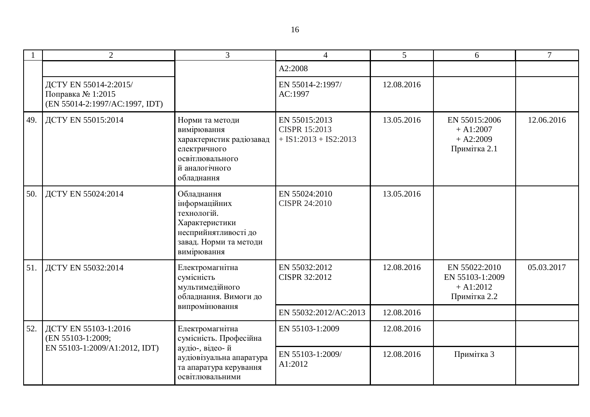|     | $\overline{2}$                                                               | $\overline{3}$                                                                                                                | $\Delta$                                                         | 5          | 6                                                              | $\tau$     |
|-----|------------------------------------------------------------------------------|-------------------------------------------------------------------------------------------------------------------------------|------------------------------------------------------------------|------------|----------------------------------------------------------------|------------|
|     |                                                                              |                                                                                                                               | A2:2008                                                          |            |                                                                |            |
|     | ДСТУ EN 55014-2:2015/<br>Поправка № 1:2015<br>(EN 55014-2:1997/AC:1997, IDT) |                                                                                                                               | EN 55014-2:1997/<br>AC:1997                                      | 12.08.2016 |                                                                |            |
| 49. | ДСТУ EN 55015:2014                                                           | Норми та методи<br>вимірювання<br>характеристик радіозавад<br>електричного<br>освітлювального<br>й аналогічного<br>обладнання | EN 55015:2013<br><b>CISPR 15:2013</b><br>$+ IS1:2013 + IS2:2013$ | 13.05.2016 | EN 55015:2006<br>$+A1:2007$<br>$+ A2:2009$<br>Примітка 2.1     | 12.06.2016 |
| 50. | ДСТУ EN 55024:2014                                                           | Обладнання<br>інформаційних<br>технологій.<br>Характеристики<br>несприйнятливості до<br>завад. Норми та методи<br>вимірювання | EN 55024:2010<br>CISPR 24:2010                                   | 13.05.2016 |                                                                |            |
| 51. | ДСТУ EN 55032:2014                                                           | Електромагнітна<br>сумісність<br>мультимедійного<br>обладнання. Вимоги до                                                     | EN 55032:2012<br>CISPR 32:2012                                   | 12.08.2016 | EN 55022:2010<br>EN 55103-1:2009<br>$+A1:2012$<br>Примітка 2.2 | 05.03.2017 |
|     |                                                                              | випромінювання                                                                                                                | EN 55032:2012/AC:2013                                            | 12.08.2016 |                                                                |            |
| 52. | ДСТУ EN 55103-1:2016<br>(EN 55103-1:2009;                                    | Електромагнітна<br>сумісність. Професійна                                                                                     | EN 55103-1:2009                                                  | 12.08.2016 |                                                                |            |
|     | EN 55103-1:2009/A1:2012, IDT)<br>аудіо-, відео-й<br>освітлювальними          | аудіовізуальна апаратура<br>та апаратура керування                                                                            | EN 55103-1:2009/<br>A1:2012                                      | 12.08.2016 | Примітка 3                                                     |            |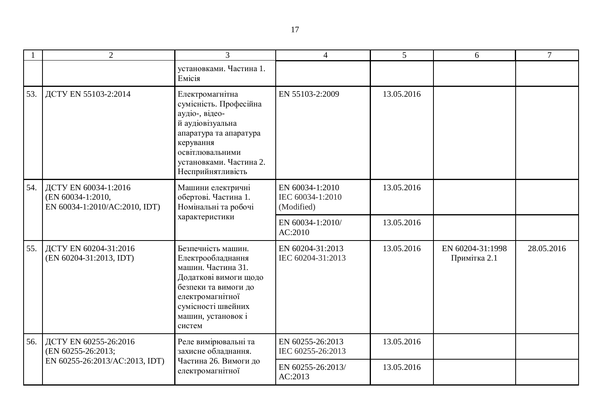|     | $\overline{2}$                                                              | 3                                                                                                                                                                                         | $\overline{4}$                                    | 5          | 6                                | $\tau$     |
|-----|-----------------------------------------------------------------------------|-------------------------------------------------------------------------------------------------------------------------------------------------------------------------------------------|---------------------------------------------------|------------|----------------------------------|------------|
|     |                                                                             | установками. Частина 1.<br>Емісія                                                                                                                                                         |                                                   |            |                                  |            |
| 53. | ДСТУ EN 55103-2:2014                                                        | Електромагнітна<br>сумісність. Професійна<br>аудіо-, відео-<br>й аудіовізуальна<br>апаратура та апаратура<br>керування<br>освітлювальними<br>установками. Частина 2.<br>Несприйнятливість | EN 55103-2:2009                                   | 13.05.2016 |                                  |            |
| 54. | ДСТУ EN 60034-1:2016<br>(EN 60034-1:2010,<br>EN 60034-1:2010/AC:2010, IDT)  | Машини електричні<br>обертові. Частина 1.<br>Номінальні та робочі                                                                                                                         | EN 60034-1:2010<br>IEC 60034-1:2010<br>(Modified) | 13.05.2016 |                                  |            |
|     | характеристики                                                              | EN 60034-1:2010/<br>AC:2010                                                                                                                                                               | 13.05.2016                                        |            |                                  |            |
| 55. | ДСТУ EN 60204-31:2016<br>(EN 60204-31:2013, IDT)                            | Безпечність машин.<br>Електрообладнання<br>машин. Частина 31.<br>Додаткові вимоги щодо<br>безпеки та вимоги до<br>електромагнітної<br>сумісності швейних<br>машин, установок і<br>систем  | EN 60204-31:2013<br>IEC 60204-31:2013             | 13.05.2016 | EN 60204-31:1998<br>Примітка 2.1 | 28.05.2016 |
| 56. | ДСТУ EN 60255-26:2016<br>(EN 60255-26:2013;                                 | Реле вимірювальні та<br>захисне обладнання.                                                                                                                                               | EN 60255-26:2013<br>IEC 60255-26:2013             | 13.05.2016 |                                  |            |
|     | Частина 26. Вимоги до<br>EN 60255-26:2013/AC:2013, IDT)<br>електромагнітної | EN 60255-26:2013/<br>AC:2013                                                                                                                                                              | 13.05.2016                                        |            |                                  |            |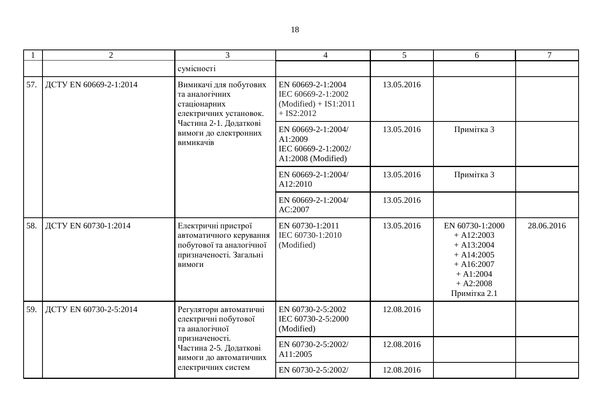|     | $\overline{2}$                                                                                                                                                                         | 3                                                                                                               | $\overline{4}$                                                                     | 5          | 6                                                                                                                             | $\tau$     |
|-----|----------------------------------------------------------------------------------------------------------------------------------------------------------------------------------------|-----------------------------------------------------------------------------------------------------------------|------------------------------------------------------------------------------------|------------|-------------------------------------------------------------------------------------------------------------------------------|------------|
|     |                                                                                                                                                                                        | сумісності                                                                                                      |                                                                                    |            |                                                                                                                               |            |
| 57. | ДСТУ EN 60669-2-1:2014<br>Вимикачі для побутових<br>та аналогічних<br>стаціонарних<br>електричних установок.<br>Частина 2-1. Додаткові<br>вимоги до електронних<br>вимикачів           |                                                                                                                 | EN 60669-2-1:2004<br>IEC 60669-2-1:2002<br>$(Modified) + IS1:2011$<br>$+$ IS2:2012 | 13.05.2016 |                                                                                                                               |            |
|     |                                                                                                                                                                                        | EN 60669-2-1:2004/<br>A1:2009<br>IEC 60669-2-1:2002/<br>A1:2008 (Modified)                                      | 13.05.2016                                                                         | Примітка 3 |                                                                                                                               |            |
|     |                                                                                                                                                                                        |                                                                                                                 | EN 60669-2-1:2004/<br>A12:2010                                                     | 13.05.2016 | Примітка 3                                                                                                                    |            |
|     |                                                                                                                                                                                        |                                                                                                                 | EN 60669-2-1:2004/<br>AC:2007                                                      | 13.05.2016 |                                                                                                                               |            |
| 58. | ДСТУ EN 60730-1:2014                                                                                                                                                                   | Електричні пристрої<br>автоматичного керування<br>побутової та аналогічної<br>призначеності. Загальні<br>вимоги | EN 60730-1:2011<br>IEC 60730-1:2010<br>(Modified)                                  | 13.05.2016 | EN 60730-1:2000<br>$+ A12:2003$<br>$+ A13:2004$<br>$+ A14:2005$<br>$+ A16:2007$<br>$+ A1:2004$<br>$+ A2:2008$<br>Примітка 2.1 | 28.06.2016 |
| 59. | ДСТУ EN 60730-2-5:2014<br>Регулятори автоматичні<br>електричні побутової<br>та аналогічної<br>призначеності.<br>Частина 2-5. Додаткові<br>вимоги до автоматичних<br>електричних систем |                                                                                                                 | EN 60730-2-5:2002<br>IEC 60730-2-5:2000<br>(Modified)                              | 12.08.2016 |                                                                                                                               |            |
|     |                                                                                                                                                                                        | EN 60730-2-5:2002/<br>A11:2005                                                                                  | 12.08.2016                                                                         |            |                                                                                                                               |            |
|     |                                                                                                                                                                                        | EN 60730-2-5:2002/                                                                                              | 12.08.2016                                                                         |            |                                                                                                                               |            |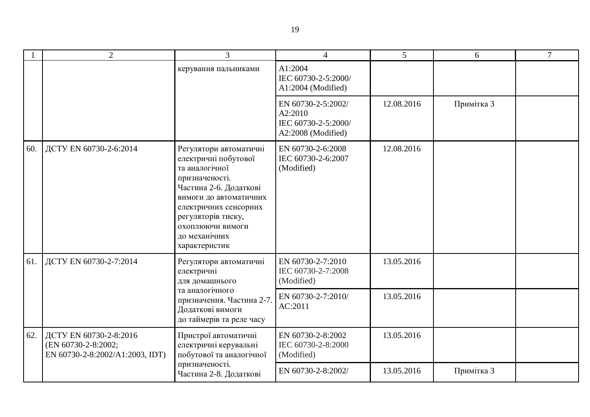|     | $\overline{2}$                                                                   | $\overline{3}$                                                                                                                                                                                                                              | $\overline{4}$                                                             | 5          | 6          | $\overline{7}$ |
|-----|----------------------------------------------------------------------------------|---------------------------------------------------------------------------------------------------------------------------------------------------------------------------------------------------------------------------------------------|----------------------------------------------------------------------------|------------|------------|----------------|
|     |                                                                                  | керування пальниками                                                                                                                                                                                                                        | A1:2004<br>IEC 60730-2-5:2000/<br>A1:2004 (Modified)                       |            |            |                |
|     |                                                                                  |                                                                                                                                                                                                                                             | EN 60730-2-5:2002/<br>A2:2010<br>IEC 60730-2-5:2000/<br>A2:2008 (Modified) | 12.08.2016 | Примітка 3 |                |
| 60. | ДСТУ EN 60730-2-6:2014                                                           | Регулятори автоматичні<br>електричні побутової<br>та аналогічної<br>призначеності.<br>Частина 2-6. Додаткові<br>вимоги до автоматичних<br>електричних сенсорних<br>регуляторів тиску,<br>охоплюючи вимоги<br>до механічних<br>характеристик | EN 60730-2-6:2008<br>IEC 60730-2-6:2007<br>(Modified)                      | 12.08.2016 |            |                |
| 61. | ДСТУ EN 60730-2-7:2014                                                           | Регулятори автоматичні<br>електричні<br>для домашнього                                                                                                                                                                                      | EN 60730-2-7:2010<br>IEC 60730-2-7:2008<br>(Modified)                      | 13.05.2016 |            |                |
|     |                                                                                  | та аналогічного<br>призначення. Частина 2-7.<br>Додаткові вимоги<br>до таймерів та реле часу                                                                                                                                                | EN 60730-2-7:2010/<br>AC:2011                                              | 13.05.2016 |            |                |
| 62. | ДСТУ EN 60730-2-8:2016<br>(EN 60730-2-8:2002;<br>EN 60730-2-8:2002/A1:2003, IDT) | Пристрої автоматичні<br>електричні керувальні<br>побутової та аналогічної                                                                                                                                                                   | EN 60730-2-8:2002<br>IEC 60730-2-8:2000<br>(Modified)                      | 13.05.2016 |            |                |
|     |                                                                                  | призначеності.<br>Частина 2-8. Додаткові                                                                                                                                                                                                    | EN 60730-2-8:2002/                                                         | 13.05.2016 | Примітка 3 |                |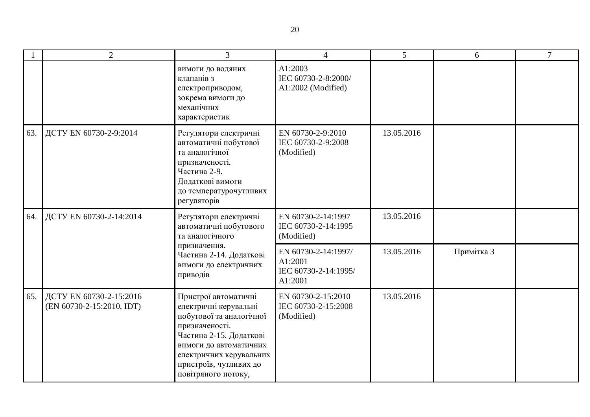|     | $\overline{2}$                                       | 3                                                                                                                                                                                                                            | $\overline{4}$                                                    | 5          | 6          | $\tau$ |
|-----|------------------------------------------------------|------------------------------------------------------------------------------------------------------------------------------------------------------------------------------------------------------------------------------|-------------------------------------------------------------------|------------|------------|--------|
|     |                                                      | вимоги до водяних<br>клапанів з<br>електроприводом,<br>зокрема вимоги до<br>механічних<br>характеристик                                                                                                                      | A1:2003<br>IEC 60730-2-8:2000/<br>A1:2002 (Modified)              |            |            |        |
| 63. | ДСТУ EN 60730-2-9:2014                               | Регулятори електричні<br>автоматичні побутової<br>та аналогічної<br>призначеності.<br>Частина 2-9.<br>Додаткові вимоги<br>до температурочутливих<br>регуляторів                                                              | EN 60730-2-9:2010<br>IEC 60730-2-9:2008<br>(Modified)             | 13.05.2016 |            |        |
| 64. | ДСТУ EN 60730-2-14:2014                              | Регулятори електричні<br>автоматичні побутового<br>та аналогічного                                                                                                                                                           | EN 60730-2-14:1997<br>IEC 60730-2-14:1995<br>(Modified)           | 13.05.2016 |            |        |
|     |                                                      | призначення.<br>Частина 2-14. Додаткові<br>вимоги до електричних<br>приводів                                                                                                                                                 | EN 60730-2-14:1997/<br>A1:2001<br>IEC 60730-2-14:1995/<br>A1:2001 | 13.05.2016 | Примітка 3 |        |
| 65. | ДСТУ EN 60730-2-15:2016<br>(EN 60730-2-15:2010, IDT) | Пристрої автоматичні<br>електричні керувальні<br>побутової та аналогічної<br>призначеності.<br>Частина 2-15. Додаткові<br>вимоги до автоматичних<br>електричних керувальних<br>пристроїв, чутливих до<br>повітряного потоку, | EN 60730-2-15:2010<br>IEC 60730-2-15:2008<br>(Modified)           | 13.05.2016 |            |        |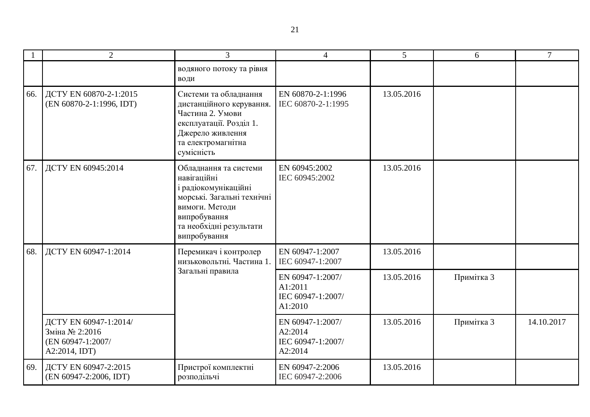|     | $\overline{2}$                                                                                 | 3                                                                                                                                                                       | $\overline{4}$                                              | 5          | 6          | $\overline{7}$ |
|-----|------------------------------------------------------------------------------------------------|-------------------------------------------------------------------------------------------------------------------------------------------------------------------------|-------------------------------------------------------------|------------|------------|----------------|
|     |                                                                                                | водяного потоку та рівня<br>води                                                                                                                                        |                                                             |            |            |                |
| 66. | ДСТУ EN 60870-2-1:2015<br>(EN 60870-2-1:1996, IDT)                                             | Системи та обладнання<br>дистанційного керування.<br>Частина 2. Умови<br>експлуатації. Розділ 1.<br>Джерело живлення<br>та електромагнітна<br>сумісність                | EN 60870-2-1:1996<br>IEC 60870-2-1:1995                     | 13.05.2016 |            |                |
| 67. | ДСТУ EN 60945:2014                                                                             | Обладнання та системи<br>навігаційні<br>і радіокомунікаційні<br>морські. Загальні технічні<br>вимоги. Методи<br>випробування<br>та необхідні результати<br>випробування | EN 60945:2002<br>IEC 60945:2002                             | 13.05.2016 |            |                |
| 68. | ДСТУ EN 60947-1:2014<br>Перемикач і контролер<br>низьковольтні. Частина 1.<br>Загальні правила |                                                                                                                                                                         | EN 60947-1:2007<br>IEC 60947-1:2007                         | 13.05.2016 |            |                |
|     |                                                                                                | EN 60947-1:2007/<br>A1:2011<br>IEC 60947-1:2007/<br>A1:2010                                                                                                             | 13.05.2016                                                  | Примітка 3 |            |                |
|     | ДСТУ EN 60947-1:2014/<br>Зміна № 2:2016<br>(EN 60947-1:2007/<br>A2:2014, IDT)                  |                                                                                                                                                                         | EN 60947-1:2007/<br>A2:2014<br>IEC 60947-1:2007/<br>A2:2014 | 13.05.2016 | Примітка 3 | 14.10.2017     |
| 69. | ДСТУ EN 60947-2:2015<br>(EN 60947-2:2006, IDT)                                                 | Пристрої комплектні<br>розподільчі                                                                                                                                      | EN 60947-2:2006<br>IEC 60947-2:2006                         | 13.05.2016 |            |                |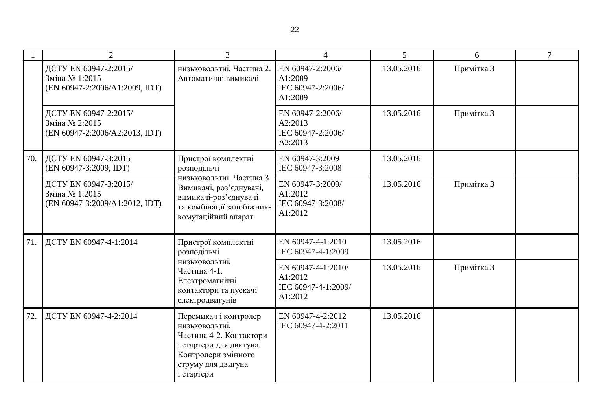|     | $\overline{2}$                                                                                                                                                | 3                                                                                                                                                        | $\overline{4}$                                              | $\overline{5}$ | 6          | $\overline{7}$ |
|-----|---------------------------------------------------------------------------------------------------------------------------------------------------------------|----------------------------------------------------------------------------------------------------------------------------------------------------------|-------------------------------------------------------------|----------------|------------|----------------|
|     | ДСТУ EN 60947-2:2015/<br>Зміна № 1:2015<br>(EN 60947-2:2006/A1:2009, IDT)                                                                                     | низьковольтні. Частина 2.<br>Автоматичні вимикачі                                                                                                        | EN 60947-2:2006/<br>A1:2009<br>IEC 60947-2:2006/<br>A1:2009 | 13.05.2016     | Примітка 3 |                |
|     | ДСТУ EN 60947-2:2015/<br>Зміна № 2:2015<br>(EN 60947-2:2006/A2:2013, IDT)                                                                                     |                                                                                                                                                          | EN 60947-2:2006/<br>A2:2013<br>IEC 60947-2:2006/<br>A2:2013 | 13.05.2016     | Примітка 3 |                |
| 70. | ДСТУ EN 60947-3:2015<br>(EN 60947-3:2009, IDT)                                                                                                                | Пристрої комплектні<br>розподільчі                                                                                                                       | EN 60947-3:2009<br>IEC 60947-3:2008                         | 13.05.2016     |            |                |
|     | ДСТУ EN 60947-3:2015/<br>Зміна № 1:2015<br>(EN 60947-3:2009/A1:2012, IDT)                                                                                     | низьковольтні. Частина 3.<br>Вимикачі, роз'єднувачі,<br>вимикачі-роз'єднувачі<br>та комбінації запобіжник-<br>комутаційний апарат                        | EN 60947-3:2009/<br>A1:2012<br>IEC 60947-3:2008/<br>A1:2012 | 13.05.2016     | Примітка 3 |                |
| 71. | ДСТУ EN 60947-4-1:2014<br>Пристрої комплектні<br>розподільчі<br>низьковольтні.<br>Частина 4-1.<br>Електромагнітні<br>контактори та пускачі<br>електродвигунів |                                                                                                                                                          | EN 60947-4-1:2010<br>IEC 60947-4-1:2009                     | 13.05.2016     |            |                |
|     |                                                                                                                                                               | EN 60947-4-1:2010/<br>A1:2012<br>IEC 60947-4-1:2009/<br>A1:2012                                                                                          | 13.05.2016                                                  | Примітка 3     |            |                |
| 72. | ДСТУ EN 60947-4-2:2014                                                                                                                                        | Перемикач і контролер<br>низьковольтні.<br>Частина 4-2. Контактори<br>і стартери для двигуна.<br>Контролери змінного<br>струму для двигуна<br>і стартери | EN 60947-4-2:2012<br>IEC 60947-4-2:2011                     | 13.05.2016     |            |                |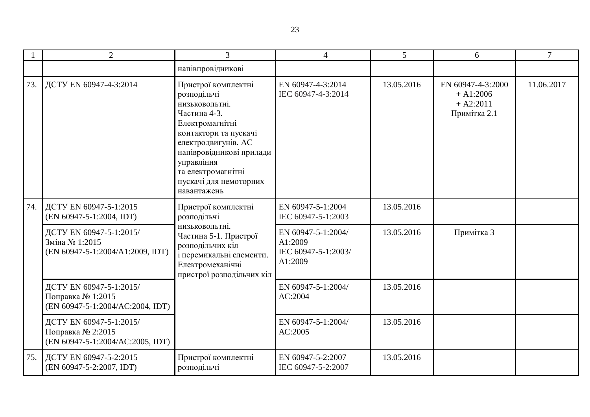|     | $\overline{2}$                                                                   | 3                                                                                                                                                                                                                                                | $\overline{4}$                                                  | $\overline{5}$ | 6                                                              | $\tau$     |
|-----|----------------------------------------------------------------------------------|--------------------------------------------------------------------------------------------------------------------------------------------------------------------------------------------------------------------------------------------------|-----------------------------------------------------------------|----------------|----------------------------------------------------------------|------------|
|     |                                                                                  | напівпровідникові                                                                                                                                                                                                                                |                                                                 |                |                                                                |            |
| 73. | ДСТУ EN 60947-4-3:2014                                                           | Пристрої комплектні<br>розподільчі<br>низьковольтні.<br>Частина 4-3.<br>Електромагнітні<br>контактори та пускачі<br>електродвигунів. АС<br>напівровідникові прилади<br>управління<br>та електромагнітні<br>пускачі для немоторних<br>навантажень | EN 60947-4-3:2014<br>IEC 60947-4-3:2014                         | 13.05.2016     | EN 60947-4-3:2000<br>$+A1:2006$<br>$+ A2:2011$<br>Примітка 2.1 | 11.06.2017 |
| 74. | ДСТУ EN 60947-5-1:2015<br>(EN 60947-5-1:2004, IDT)                               | Пристрої комплектні<br>розподільчі                                                                                                                                                                                                               | EN 60947-5-1:2004<br>IEC 60947-5-1:2003                         | 13.05.2016     |                                                                |            |
|     | ДСТУ EN 60947-5-1:2015/<br>Зміна № 1:2015<br>(EN 60947-5-1:2004/A1:2009, IDT)    | низьковольтні.<br>Частина 5-1. Пристрої<br>розподільчих кіл<br>і перемикальні елементи.<br>Електромеханічні<br>пристрої розподільчих кіл                                                                                                         | EN 60947-5-1:2004/<br>A1:2009<br>IEC 60947-5-1:2003/<br>A1:2009 | 13.05.2016     | Примітка 3                                                     |            |
|     | ДСТУ EN 60947-5-1:2015/<br>Поправка № 1:2015<br>(EN 60947-5-1:2004/AC:2004, IDT) |                                                                                                                                                                                                                                                  | EN 60947-5-1:2004/<br>AC:2004                                   | 13.05.2016     |                                                                |            |
|     | ДСТУ EN 60947-5-1:2015/<br>Поправка № 2:2015<br>(EN 60947-5-1:2004/AC:2005, IDT) |                                                                                                                                                                                                                                                  | EN 60947-5-1:2004/<br>AC:2005                                   | 13.05.2016     |                                                                |            |
| 75. | ДСТУ EN 60947-5-2:2015<br>(EN 60947-5-2:2007, IDT)                               | Пристрої комплектні<br>розподільчі                                                                                                                                                                                                               | EN 60947-5-2:2007<br>IEC 60947-5-2:2007                         | 13.05.2016     |                                                                |            |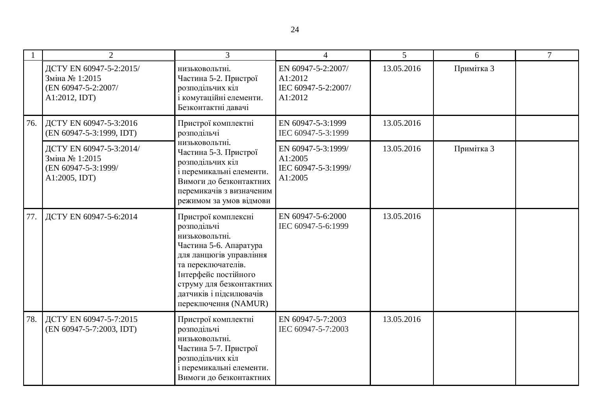|     | $\overline{2}$                                                                    | $\mathcal{R}$                                                                                                                                                                                                                          | $\overline{4}$                                                  | $\overline{5}$ | 6          | $\tau$ |
|-----|-----------------------------------------------------------------------------------|----------------------------------------------------------------------------------------------------------------------------------------------------------------------------------------------------------------------------------------|-----------------------------------------------------------------|----------------|------------|--------|
|     | ДСТУ EN 60947-5-2:2015/<br>Зміна № 1:2015<br>(EN 60947-5-2:2007/<br>A1:2012, IDT) | низьковольтні.<br>Частина 5-2. Пристрої<br>розподільчих кіл<br>і комутаційні елементи.<br>Безконтактні давачі                                                                                                                          | EN 60947-5-2:2007/<br>A1:2012<br>IEC 60947-5-2:2007/<br>A1:2012 | 13.05.2016     | Примітка 3 |        |
| 76. | ДСТУ EN 60947-5-3:2016<br>(EN 60947-5-3:1999, IDT)                                | Пристрої комплектні<br>розподільчі<br>низьковольтні.<br>Частина 5-3. Пристрої<br>розподільчих кіл<br>і перемикальні елементи.<br>Вимоги до безконтактних<br>перемикачів з визначеним<br>режимом за умов відмови                        | EN 60947-5-3:1999<br>IEC 60947-5-3:1999                         | 13.05.2016     |            |        |
|     | ДСТУ EN 60947-5-3:2014/<br>Зміна № 1:2015<br>(EN 60947-5-3:1999/<br>A1:2005, IDT) |                                                                                                                                                                                                                                        | EN 60947-5-3:1999/<br>A1:2005<br>IEC 60947-5-3:1999/<br>A1:2005 | 13.05.2016     | Примітка 3 |        |
| 77. | ДСТУ EN 60947-5-6:2014                                                            | Пристрої комплексні<br>розподільчі<br>низьковольтні.<br>Частина 5-6. Апаратура<br>для ланцюгів управління<br>та переключателів.<br>Інтерфейс постійного<br>струму для безконтактних<br>датчиків і підсилювачів<br>переключення (NAMUR) | EN 60947-5-6:2000<br>IEC 60947-5-6:1999                         | 13.05.2016     |            |        |
| 78. | ДСТУ EN 60947-5-7:2015<br>(EN 60947-5-7:2003, IDT)                                | Пристрої комплектні<br>розподільчі<br>низьковольтні.<br>Частина 5-7. Пристрої<br>розподільчих кіл<br>і перемикальні елементи.<br>Вимоги до безконтактних                                                                               | EN 60947-5-7:2003<br>IEC 60947-5-7:2003                         | 13.05.2016     |            |        |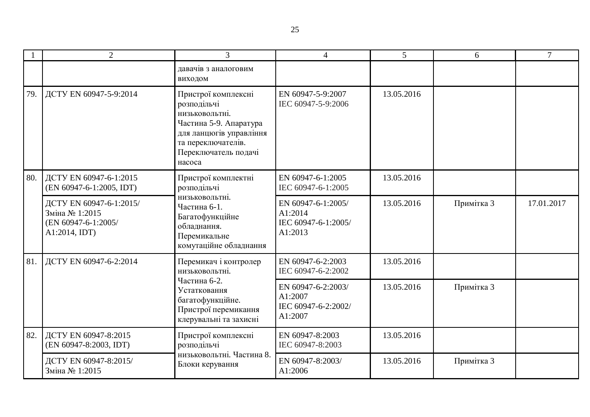|     | $\overline{2}$                                                                                     | $\overline{3}$                                                                                                                                                    | $\overline{4}$                                                  | $5\overline{)}$ | 6          | $\overline{7}$ |
|-----|----------------------------------------------------------------------------------------------------|-------------------------------------------------------------------------------------------------------------------------------------------------------------------|-----------------------------------------------------------------|-----------------|------------|----------------|
|     |                                                                                                    | давачів з аналоговим<br>виходом                                                                                                                                   |                                                                 |                 |            |                |
| 79. | ДСТУ EN 60947-5-9:2014                                                                             | Пристрої комплексні<br>розподільчі<br>низьковольтні.<br>Частина 5-9. Апаратура<br>для ланцюгів управління<br>та переключателів.<br>Переключатель подачі<br>насоса | EN 60947-5-9:2007<br>IEC 60947-5-9:2006                         | 13.05.2016      |            |                |
| 80. | ДСТУ EN 60947-6-1:2015<br>(EN 60947-6-1:2005, IDT)                                                 | Пристрої комплектні<br>розподільчі                                                                                                                                | EN 60947-6-1:2005<br>IEC 60947-6-1:2005                         | 13.05.2016      |            |                |
|     | ДСТУ EN 60947-6-1:2015/<br>Зміна № 1:2015<br>(EN 60947-6-1:2005/<br>A1:2014, IDT)                  | низьковольтні.<br>Частина 6-1.<br>Багатофункційне<br>обладнання.<br>Перемикальне<br>комутаційне обладнання                                                        | EN 60947-6-1:2005/<br>A1:2014<br>IEC 60947-6-1:2005/<br>A1:2013 | 13.05.2016      | Примітка 3 | 17.01.2017     |
| 81. | ДСТУ EN 60947-6-2:2014                                                                             | Перемикач і контролер<br>низьковольтні.                                                                                                                           | EN 60947-6-2:2003<br>IEC 60947-6-2:2002                         | 13.05.2016      |            |                |
|     | Частина 6-2.<br>Устатковання<br>багатофункційне.<br>Пристрої перемикання<br>клерувальні та захисні | EN 60947-6-2:2003/<br>A1:2007<br>IEC 60947-6-2:2002/<br>A1:2007                                                                                                   | 13.05.2016                                                      | Примітка 3      |            |                |
| 82. | ДСТУ EN 60947-8:2015<br>(EN 60947-8:2003, IDT)                                                     | Пристрої комплексні<br>розподільчі                                                                                                                                | EN 60947-8:2003<br>IEC 60947-8:2003                             | 13.05.2016      |            |                |
|     | ДСТУ EN 60947-8:2015/<br>Зміна № 1:2015                                                            | низьковольтні. Частина 8.<br>Блоки керування                                                                                                                      | EN 60947-8:2003/<br>A1:2006                                     | 13.05.2016      | Примітка 3 |                |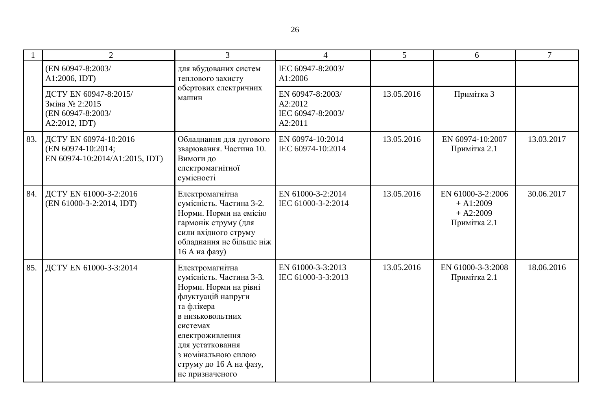|     | $\overline{2}$                                                                | 3                                                                                                                                                                                                                                                    | 4                                                           | $5\overline{)}$ | 6                                                               | $\overline{7}$ |
|-----|-------------------------------------------------------------------------------|------------------------------------------------------------------------------------------------------------------------------------------------------------------------------------------------------------------------------------------------------|-------------------------------------------------------------|-----------------|-----------------------------------------------------------------|----------------|
|     | (EN 60947-8:2003/<br>A1:2006, IDT)                                            | для вбудованих систем<br>теплового захисту                                                                                                                                                                                                           | IEC 60947-8:2003/<br>A1:2006                                |                 |                                                                 |                |
|     | ДСТУ EN 60947-8:2015/<br>Зміна № 2:2015<br>(EN 60947-8:2003/<br>A2:2012, IDT) | обертових електричних<br>машин                                                                                                                                                                                                                       | EN 60947-8:2003/<br>A2:2012<br>IEC 60947-8:2003/<br>A2:2011 | 13.05.2016      | Примітка 3                                                      |                |
| 83. | ДСТУ EN 60974-10:2016<br>(EN 60974-10:2014;<br>EN 60974-10:2014/A1:2015, IDT) | Обладнання для дугового<br>зварювання. Частина 10.<br>Вимоги до<br>електромагнітної<br>сумісності                                                                                                                                                    | EN 60974-10:2014<br>IEC 60974-10:2014                       | 13.05.2016      | EN 60974-10:2007<br>Примітка 2.1                                | 13.03.2017     |
| 84. | ДСТУ EN 61000-3-2:2016<br>(EN 61000-3-2:2014, IDT)                            | Електромагнітна<br>сумісність. Частина 3-2.<br>Норми. Норми на емісію<br>гармонік струму (для<br>сили вхідного струму<br>обладнання не більше ніж<br>16 А на фазу)                                                                                   | EN 61000-3-2:2014<br>IEC 61000-3-2:2014                     | 13.05.2016      | EN 61000-3-2:2006<br>$+ A1:2009$<br>$+ A2:2009$<br>Примітка 2.1 | 30.06.2017     |
| 85. | ДСТУ EN 61000-3-3:2014                                                        | Електромагнітна<br>сумісність. Частина 3-3.<br>Норми. Норми на рівні<br>флуктуацій напруги<br>та флікера<br>В НИЗЬКОВОЛЬТНИХ<br>системах<br>електроживлення<br>для устатковання<br>з номінальною силою<br>струму до 16 А на фазу,<br>не призначеного | EN 61000-3-3:2013<br>IEC 61000-3-3:2013                     | 13.05.2016      | EN 61000-3-3:2008<br>Примітка 2.1                               | 18.06.2016     |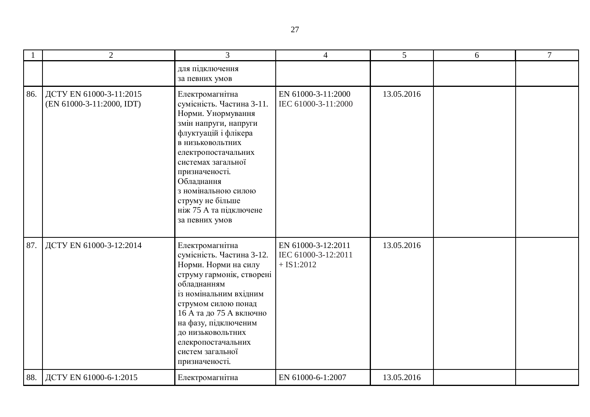|     | $\overline{2}$                                       | 3                                                                                                                                                                                                                                                                                                           | $\overline{4}$                                            | $5\overline{)}$ | 6 | $\overline{7}$ |
|-----|------------------------------------------------------|-------------------------------------------------------------------------------------------------------------------------------------------------------------------------------------------------------------------------------------------------------------------------------------------------------------|-----------------------------------------------------------|-----------------|---|----------------|
|     |                                                      | для підключення<br>за певних умов                                                                                                                                                                                                                                                                           |                                                           |                 |   |                |
| 86. | ДСТУ EN 61000-3-11:2015<br>(EN 61000-3-11:2000, IDT) | Електромагнітна<br>сумісність. Частина 3-11.<br>Норми. Унормування<br>змін напруги, напруги<br>флуктуацій і флікера<br>В НИЗЬКОВОЛЬТНИХ<br>електропостачальних<br>системах загальної<br>призначеності.<br>Обладнання<br>з номінальною силою<br>струму не більше<br>ніж 75 А та підключене<br>за певних умов | EN 61000-3-11:2000<br>IEC 61000-3-11:2000                 | 13.05.2016      |   |                |
| 87. | ДСТУ EN 61000-3-12:2014                              | Електромагнітна<br>сумісність. Частина 3-12.<br>Норми. Норми на силу<br>струму гармонік, створені<br>обладнанням<br>із номінальним вхідним<br>струмом силою понад<br>16 А та до 75 А включно<br>на фазу, підключеним<br>до низьковольтних<br>елекропостачальних<br>систем загальної<br>призначеності.       | EN 61000-3-12:2011<br>IEC 61000-3-12:2011<br>$+$ IS1:2012 | 13.05.2016      |   |                |
| 88. | ДСТУ EN 61000-6-1:2015                               | Електромагнітна                                                                                                                                                                                                                                                                                             | EN 61000-6-1:2007                                         | 13.05.2016      |   |                |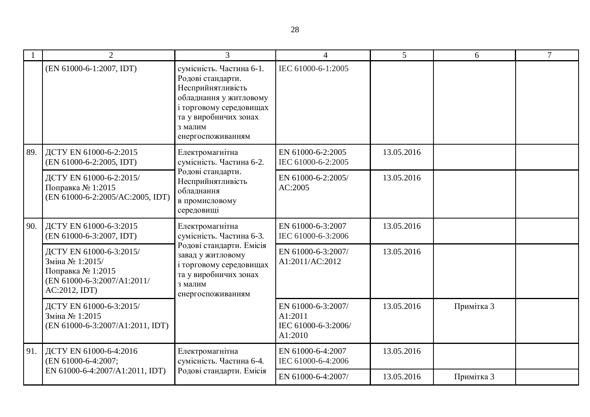|     | $\overline{2}$                                                                                                  | 3                                                                                                                                                                                | $\overline{4}$                                                  | 5          | 6          | $\overline{7}$ |
|-----|-----------------------------------------------------------------------------------------------------------------|----------------------------------------------------------------------------------------------------------------------------------------------------------------------------------|-----------------------------------------------------------------|------------|------------|----------------|
|     | (EN 61000-6-1:2007, IDT)                                                                                        | сумісність. Частина 6-1.<br>Родові стандарти.<br>Несприйнятливість<br>обладнання у житловому<br>і торговому середовищах<br>та у виробничих зонах<br>з малим<br>енергоспоживанням | IEC 61000-6-1:2005                                              |            |            |                |
| 89. | ДСТУ EN 61000-6-2:2015<br>(EN 61000-6-2:2005, IDT)                                                              | Електромагнітна<br>сумісність. Частина 6-2.                                                                                                                                      | EN 61000-6-2:2005<br>IEC 61000-6-2:2005                         | 13.05.2016 |            |                |
|     | ДСТУ EN 61000-6-2:2015/<br>Поправка № 1:2015<br>(EN 61000-6-2:2005/AC:2005, IDT)                                | Родові стандарти.<br>Несприйнятливість<br>обладнання<br>в промисловому<br>середовищі                                                                                             | EN 61000-6-2:2005/<br>AC:2005                                   | 13.05.2016 |            |                |
| 90. | ДСТУ EN 61000-6-3:2015<br>(EN 61000-6-3:2007, IDT)                                                              | Електромагнітна<br>сумісність. Частина 6-3.<br>Родові стандарти. Емісія<br>завад у житловому<br>і торговому середовищах<br>та у виробничих зонах<br>з малим<br>енергоспоживанням | EN 61000-6-3:2007<br>IEC 61000-6-3:2006                         | 13.05.2016 |            |                |
|     | ДСТУ EN 61000-6-3:2015/<br>Зміна № 1:2015/<br>Поправка № 1:2015<br>(EN 61000-6-3:2007/A1:2011/<br>AC:2012, IDT) |                                                                                                                                                                                  | EN 61000-6-3:2007/<br>A1:2011/AC:2012                           | 13.05.2016 |            |                |
|     | ДСТУ EN 61000-6-3:2015/<br>Зміна № 1:2015<br>(EN 61000-6-3:2007/A1:2011, IDT)                                   |                                                                                                                                                                                  | EN 61000-6-3:2007/<br>A1:2011<br>IEC 61000-6-3:2006/<br>A1:2010 | 13.05.2016 | Примітка 3 |                |
| 91. | ДСТУ EN 61000-6-4:2016<br>(EN 61000-6-4:2007;                                                                   | Електромагнітна<br>сумісність. Частина 6-4.<br>Родові стандарти. Емісія                                                                                                          | EN 61000-6-4:2007<br>IEC 61000-6-4:2006                         | 13.05.2016 |            |                |
|     | EN 61000-6-4:2007/A1:2011, IDT)                                                                                 |                                                                                                                                                                                  | EN 61000-6-4:2007/                                              | 13.05.2016 | Примітка 3 |                |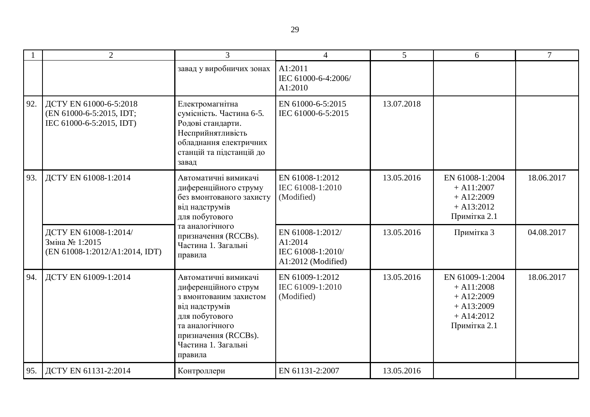|     | $\overline{2}$                                                                 | 3                                                                                                                                                                                          | $\overline{4}$                                                         | 5          | 6                                                                                               | $\tau$     |
|-----|--------------------------------------------------------------------------------|--------------------------------------------------------------------------------------------------------------------------------------------------------------------------------------------|------------------------------------------------------------------------|------------|-------------------------------------------------------------------------------------------------|------------|
|     |                                                                                | завад у виробничих зонах                                                                                                                                                                   | A1:2011<br>IEC 61000-6-4:2006/<br>A1:2010                              |            |                                                                                                 |            |
| 92. | ДСТУ EN 61000-6-5:2018<br>(EN 61000-6-5:2015, IDT;<br>IEC 61000-6-5:2015, IDT) | Електромагнітна<br>сумісність. Частина 6-5.<br>Родові стандарти.<br>Несприйнятливість<br>обладнання електричних<br>станцій та підстанцій до<br>завад                                       | EN 61000-6-5:2015<br>IEC 61000-6-5:2015                                | 13.07.2018 |                                                                                                 |            |
| 93. | ДСТУ EN 61008-1:2014                                                           | Автоматичні вимикачі<br>диференційного струму<br>без вмонтованого захисту<br>від надструмів<br>для побутового<br>та аналогічного<br>призначення (RCCBs).<br>Частина 1. Загальні<br>правила | EN 61008-1:2012<br>IEC 61008-1:2010<br>(Modified)                      | 13.05.2016 | EN 61008-1:2004<br>$+$ A11:2007<br>$+ A12:2009$<br>$+ A13:2012$<br>Примітка 2.1                 | 18.06.2017 |
|     | ДСТУ EN 61008-1:2014/<br>Зміна № 1:2015<br>(EN 61008-1:2012/A1:2014, IDT)      |                                                                                                                                                                                            | EN 61008-1:2012/<br>A1:2014<br>IEC 61008-1:2010/<br>A1:2012 (Modified) | 13.05.2016 | Примітка 3                                                                                      | 04.08.2017 |
| 94. | ДСТУ EN 61009-1:2014                                                           | Автоматичні вимикачі<br>диференційного струм<br>з вмонтованим захистом<br>від надструмів<br>для побутового<br>та аналогічного<br>призначення (RCCBs).<br>Частина 1. Загальні<br>правила    | EN 61009-1:2012<br>IEC 61009-1:2010<br>(Modified)                      | 13.05.2016 | EN 61009-1:2004<br>$+$ A11:2008<br>$+ A12:2009$<br>$+ A13:2009$<br>$+ A14:2012$<br>Примітка 2.1 | 18.06.2017 |
| 95. | ДСТУ EN 61131-2:2014                                                           | Контроллери                                                                                                                                                                                | EN 61131-2:2007                                                        | 13.05.2016 |                                                                                                 |            |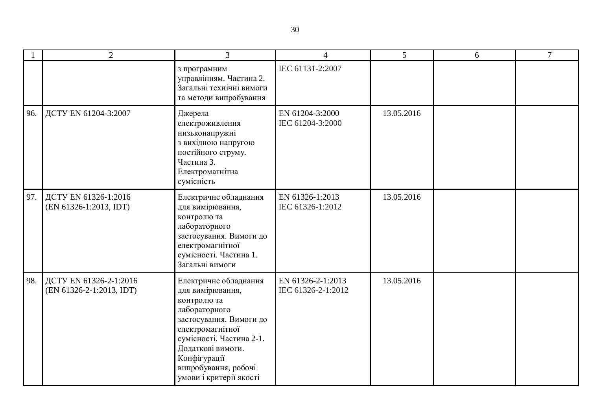|     | 2                                                      | 3                                                                                                                                                                                                                                            | $\overline{4}$                          | 5 <sup>5</sup> | 6 | $\overline{7}$ |
|-----|--------------------------------------------------------|----------------------------------------------------------------------------------------------------------------------------------------------------------------------------------------------------------------------------------------------|-----------------------------------------|----------------|---|----------------|
|     |                                                        | з програмним<br>управлінням. Частина 2.<br>Загальні технічні вимоги<br>та методи випробування                                                                                                                                                | IEC 61131-2:2007                        |                |   |                |
| 96. | ДСТУ EN 61204-3:2007                                   | Джерела<br>електроживлення<br>низьконапружні<br>з вихідною напругою<br>постійного струму.<br>Частина 3.<br>Електромагнітна<br>сумісність                                                                                                     | EN 61204-3:2000<br>IEC 61204-3:2000     | 13.05.2016     |   |                |
| 97. | ДСТУ EN 61326-1:2016<br>(EN 61326-1:2013, IDT)         | Електричне обладнання<br>для вимірювання,<br>контролю та<br>лабораторного<br>застосування. Вимоги до<br>електромагнітної<br>сумісності. Частина 1.<br>Загальні вимоги                                                                        | EN 61326-1:2013<br>IEC 61326-1:2012     | 13.05.2016     |   |                |
|     | 98. ДСТУ EN 61326-2-1:2016<br>(EN 61326-2-1:2013, IDT) | Електричне обладнання<br>для вимірювання,<br>контролю та<br>лабораторного<br>застосування. Вимоги до<br>електромагнітної<br>сумісності. Частина 2-1.<br>Додаткові вимоги.<br>Конфігурації<br>випробування, робочі<br>умови і критерії якості | EN 61326-2-1:2013<br>IEC 61326-2-1:2012 | 13.05.2016     |   |                |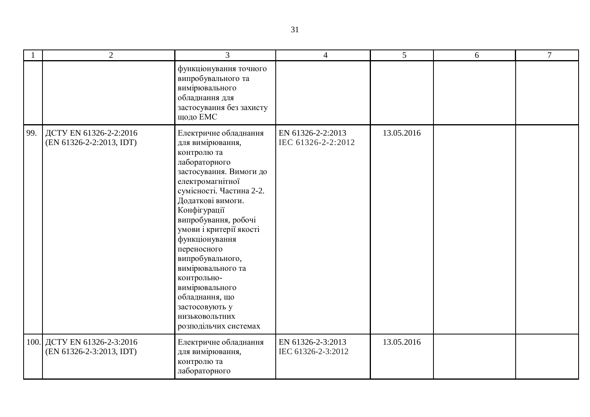|     | $\overline{2}$                                          | $\overline{3}$                                                                                                                                                                                                                                                                                                                                                                                                                         | $\overline{4}$                          | $5\overline{)}$ | 6 | $\overline{7}$ |
|-----|---------------------------------------------------------|----------------------------------------------------------------------------------------------------------------------------------------------------------------------------------------------------------------------------------------------------------------------------------------------------------------------------------------------------------------------------------------------------------------------------------------|-----------------------------------------|-----------------|---|----------------|
|     |                                                         | функціонування точного<br>випробувального та<br>вимірювального<br>обладнання для<br>застосування без захисту<br>щодо ЕМС                                                                                                                                                                                                                                                                                                               |                                         |                 |   |                |
| 99. | ДСТУ EN 61326-2-2:2016<br>(EN 61326-2-2:2013, IDT)      | Електричне обладнання<br>для вимірювання,<br>контролю та<br>лабораторного<br>застосування. Вимоги до<br>електромагнітної<br>сумісності. Частина 2-2.<br>Додаткові вимоги.<br>Конфігурації<br>випробування, робочі<br>умови і критерії якості<br>функціонування<br>переносного<br>випробувального,<br>вимірювального та<br>контрольно-<br>вимірювального<br>обладнання, що<br>застосовують у<br>НИЗЬКОВОЛЬТНИХ<br>розподільчих системах | EN 61326-2-2:2013<br>IEC 61326-2-2:2012 | 13.05.2016      |   |                |
|     | 100. ДСТУ EN 61326-2-3:2016<br>(EN 61326-2-3:2013, IDT) | Електричне обладнання<br>для вимірювання,<br>контролю та<br>лабораторного                                                                                                                                                                                                                                                                                                                                                              | EN 61326-2-3:2013<br>IEC 61326-2-3:2012 | 13.05.2016      |   |                |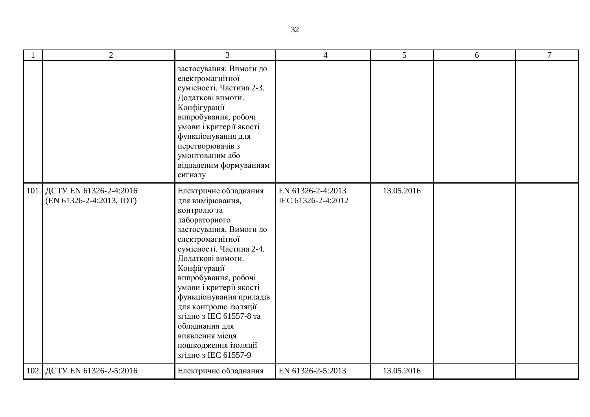| $\overline{2}$                                          | 3                                                                                                                                                                                                                                                                                                                                                                                                                | $\overline{4}$                          | 5          | 6 | $\tau$ |
|---------------------------------------------------------|------------------------------------------------------------------------------------------------------------------------------------------------------------------------------------------------------------------------------------------------------------------------------------------------------------------------------------------------------------------------------------------------------------------|-----------------------------------------|------------|---|--------|
|                                                         | застосування. Вимоги до<br>електромагнітної<br>сумісності. Частина 2-3.<br>Додаткові вимоги.<br>Конфігурації<br>випробування, робочі<br>умови і критерії якості<br>функціонування для<br>перетворювачів з<br>умонтованим або<br>віддаленим формуванням<br>сигналу                                                                                                                                                |                                         |            |   |        |
| 101. ДСТУ EN 61326-2-4:2016<br>(EN 61326-2-4:2013, IDT) | Електричне обладнання<br>для вимірювання,<br>контролю та<br>лабораторного<br>застосування. Вимоги до<br>електромагнітної<br>сумісності. Частина 2-4.<br>Додаткові вимоги.<br>Конфігурації<br>випробування, робочі<br>умови і критерії якості<br>функціонування приладів<br>для контролю ізоляції<br>згідно з IEC 61557-8 та<br>обладнання для<br>виявлення місця<br>пошкодження ізоляції<br>згідно з IEC 61557-9 | EN 61326-2-4:2013<br>IEC 61326-2-4:2012 | 13.05.2016 |   |        |
| 102. ДСТУ EN 61326-2-5:2016                             | Електричне обладнання                                                                                                                                                                                                                                                                                                                                                                                            | EN 61326-2-5:2013                       | 13.05.2016 |   |        |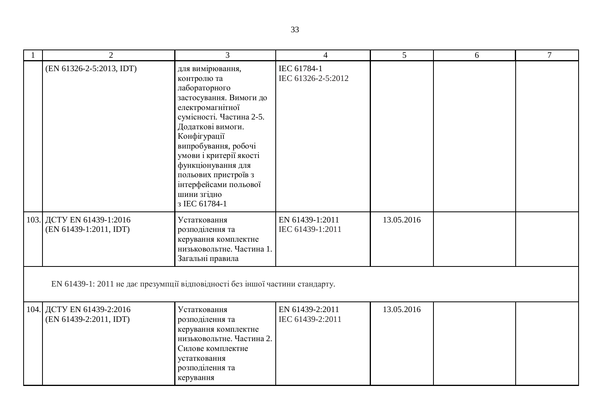| $\overline{2}$                                                                | $\overline{3}$                                                                                                                                                                                                                                                                                                             | $\overline{4}$                      | $\overline{5}$ | 6 | $\overline{7}$ |  |  |
|-------------------------------------------------------------------------------|----------------------------------------------------------------------------------------------------------------------------------------------------------------------------------------------------------------------------------------------------------------------------------------------------------------------------|-------------------------------------|----------------|---|----------------|--|--|
| (EN 61326-2-5:2013, IDT)                                                      | для вимірювання,<br>контролю та<br>лабораторного<br>застосування. Вимоги до<br>електромагнітної<br>сумісності. Частина 2-5.<br>Додаткові вимоги.<br>Конфігурації<br>випробування, робочі<br>умови і критерії якості<br>функціонування для<br>польових пристроїв з<br>інтерфейсами польової<br>шини згідно<br>3 IEC 61784-1 | IEC 61784-1<br>IEC 61326-2-5:2012   |                |   |                |  |  |
| 103. ДСТУ EN 61439-1:2016<br>(EN 61439-1:2011, IDT)                           | Устатковання<br>розподілення та<br>керування комплектне<br>низьковольтне. Частина 1.<br>Загальні правила                                                                                                                                                                                                                   | EN 61439-1:2011<br>IEC 61439-1:2011 | 13.05.2016     |   |                |  |  |
| EN 61439-1: 2011 не дає презумпції відповідності без іншої частини стандарту. |                                                                                                                                                                                                                                                                                                                            |                                     |                |   |                |  |  |
| 104. ДСТУ EN 61439-2:2016<br>(EN 61439-2:2011, IDT)                           | Устатковання<br>розподілення та<br>керування комплектне<br>низьковольтне. Частина 2.<br>Силове комплектне<br>устатковання<br>розподілення та<br>керування                                                                                                                                                                  | EN 61439-2:2011<br>IEC 61439-2:2011 | 13.05.2016     |   |                |  |  |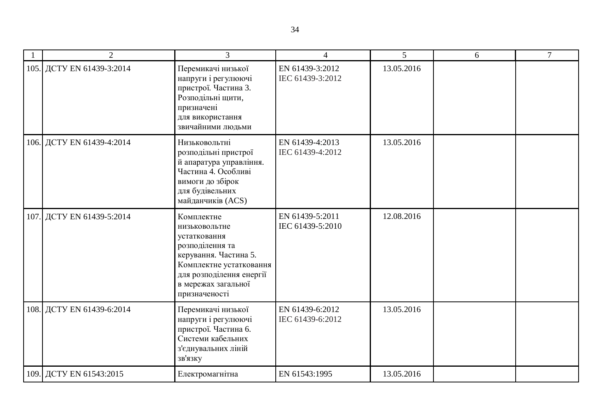| $\overline{2}$            | $\overline{3}$                                                                                                                                                                         | $\overline{4}$                      | 5          | 6 | $\tau$ |
|---------------------------|----------------------------------------------------------------------------------------------------------------------------------------------------------------------------------------|-------------------------------------|------------|---|--------|
| 105. ДСТУ EN 61439-3:2014 | Перемикачі низької<br>напруги і регулюючі<br>пристрої. Частина 3.<br>Розподільні щити,<br>призначені<br>для використання<br>звичайними людьми                                          | EN 61439-3:2012<br>IEC 61439-3:2012 | 13.05.2016 |   |        |
| 106. ДСТУ EN 61439-4:2014 | Низьковольтні<br>розподільні пристрої<br>й апаратура управління.<br>Частина 4. Особливі<br>вимоги до збірок<br>для будівельних<br>майданчиків (ACS)                                    | EN 61439-4:2013<br>IEC 61439-4:2012 | 13.05.2016 |   |        |
| 107. ДСТУ EN 61439-5:2014 | Комплектне<br>низьковольтне<br>устатковання<br>розподілення та<br>керування. Частина 5.<br>Комплектне устатковання<br>для розподілення енергії<br>в мережах загальної<br>призначеності | EN 61439-5:2011<br>IEC 61439-5:2010 | 12.08.2016 |   |        |
| 108. ДСТУ EN 61439-6:2014 | Перемикачі низької<br>напруги і регулюючі<br>пристрої. Частина 6.<br>Системи кабельних<br>з'єднувальних ліній<br>зв'язку                                                               | EN 61439-6:2012<br>IEC 61439-6:2012 | 13.05.2016 |   |        |
| 109. ДСТУ EN 61543:2015   | Електромагнітна                                                                                                                                                                        | EN 61543:1995                       | 13.05.2016 |   |        |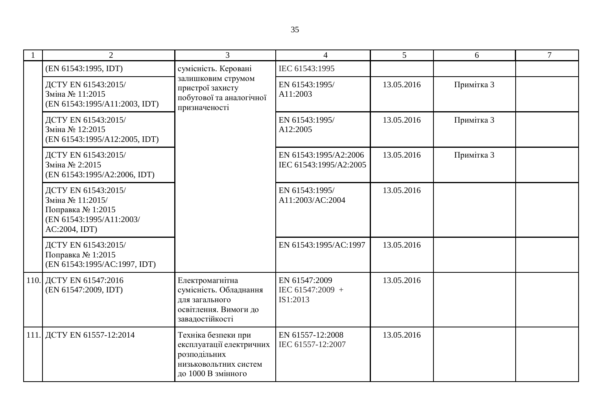| 2                                                                                                         | 3                                                                                                              |                                                 | 5          | 6          | 7 |
|-----------------------------------------------------------------------------------------------------------|----------------------------------------------------------------------------------------------------------------|-------------------------------------------------|------------|------------|---|
| (EN 61543:1995, IDT)                                                                                      | сумісність. Керовані                                                                                           | IEC 61543:1995                                  |            |            |   |
| ДСТУ EN 61543:2015/<br>Зміна № 11:2015<br>(EN 61543:1995/A11:2003, IDT)                                   | залишковим струмом<br>пристрої захисту<br>побутової та аналогічної<br>призначеності                            | EN 61543:1995/<br>A11:2003                      | 13.05.2016 | Примітка 3 |   |
| ДСТУ EN 61543:2015/<br>Зміна № 12:2015<br>(EN 61543:1995/A12:2005, IDT)                                   |                                                                                                                | EN 61543:1995/<br>A12:2005                      | 13.05.2016 | Примітка 3 |   |
| ДСТУ EN 61543:2015/<br>Зміна № 2:2015<br>(EN 61543:1995/A2:2006, IDT)                                     |                                                                                                                | EN 61543:1995/A2:2006<br>IEC 61543:1995/A2:2005 | 13.05.2016 | Примітка 3 |   |
| ДСТУ EN 61543:2015/<br>Зміна № 11:2015/<br>Поправка № 1:2015<br>(EN 61543:1995/A11:2003/<br>AC:2004, IDT) |                                                                                                                | EN 61543:1995/<br>A11:2003/AC:2004              | 13.05.2016 |            |   |
| ДСТУ EN 61543:2015/<br>Поправка № 1:2015<br>(EN 61543:1995/AC:1997, IDT)                                  |                                                                                                                | EN 61543:1995/AC:1997                           | 13.05.2016 |            |   |
| 110. ДСТУ EN 61547:2016<br>(EN 61547:2009, IDT)                                                           | Електромагнітна<br>сумісність. Обладнання<br>для загального<br>освітлення. Вимоги до<br>завадостійкості        | EN 61547:2009<br>IEC 61547:2009 +<br>IS1:2013   | 13.05.2016 |            |   |
| 111. ДСТУ EN 61557-12:2014                                                                                | Техніка безпеки при<br>експлуатації електричних<br>розподільних<br>низьковольтних систем<br>до 1000 В змінного | EN 61557-12:2008<br>IEC 61557-12:2007           | 13.05.2016 |            |   |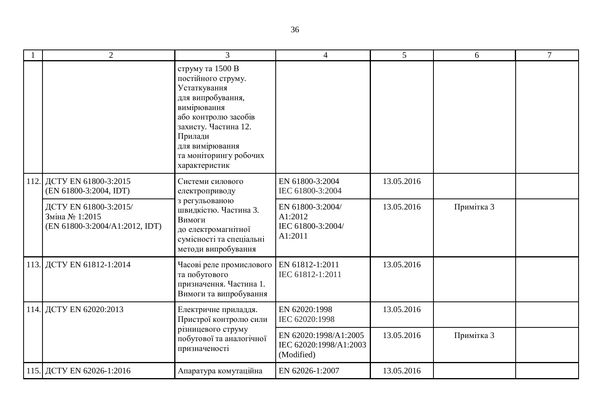|  | $\overline{2}$                                                                                                                               | 3                                                                                                                                                                                                                   | $\overline{4}$                                              | 5 <sup>5</sup> | 6          | $\tau$ |
|--|----------------------------------------------------------------------------------------------------------------------------------------------|---------------------------------------------------------------------------------------------------------------------------------------------------------------------------------------------------------------------|-------------------------------------------------------------|----------------|------------|--------|
|  |                                                                                                                                              | струму та 1500 В<br>постійного струму.<br>Устаткування<br>для випробування,<br>вимірювання<br>або контролю засобів<br>захисту. Частина 12.<br>Прилади<br>для вимірювання<br>та моніторингу робочих<br>характеристик |                                                             |                |            |        |
|  | 112. ДСТУ EN 61800-3:2015<br>(EN 61800-3:2004, IDT)                                                                                          | Системи силового<br>електроприводу                                                                                                                                                                                  | EN 61800-3:2004<br>IEC 61800-3:2004                         | 13.05.2016     |            |        |
|  | ДСТУ EN 61800-3:2015/<br>Зміна № 1:2015<br>(EN 61800-3:2004/A1:2012, IDT)                                                                    | з регульованою<br>швидкістю. Частина 3.<br>Вимоги<br>до електромагнітної<br>сумісності та спеціальні<br>методи випробування                                                                                         | EN 61800-3:2004/<br>A1:2012<br>IEC 61800-3:2004/<br>A1:2011 | 13.05.2016     | Примітка 3 |        |
|  | 113. ДСТУ EN 61812-1:2014                                                                                                                    | Часові реле промислового<br>та побутового<br>призначення. Частина 1.<br>Вимоги та випробування                                                                                                                      | EN 61812-1:2011<br>IEC 61812-1:2011                         | 13.05.2016     |            |        |
|  | 114. ДСТУ EN 62020:2013<br>Електричне приладдя.<br>Пристрої контролю сили<br>різницевого струму<br>побутової та аналогічної<br>призначеності |                                                                                                                                                                                                                     | EN 62020:1998<br>IEC 62020:1998                             | 13.05.2016     |            |        |
|  |                                                                                                                                              | EN 62020:1998/A1:2005<br>IEC 62020:1998/A1:2003<br>(Modified)                                                                                                                                                       | 13.05.2016                                                  | Примітка 3     |            |        |
|  | 115. ДСТУ EN 62026-1:2016                                                                                                                    | Апаратура комутаційна                                                                                                                                                                                               | EN 62026-1:2007                                             | 13.05.2016     |            |        |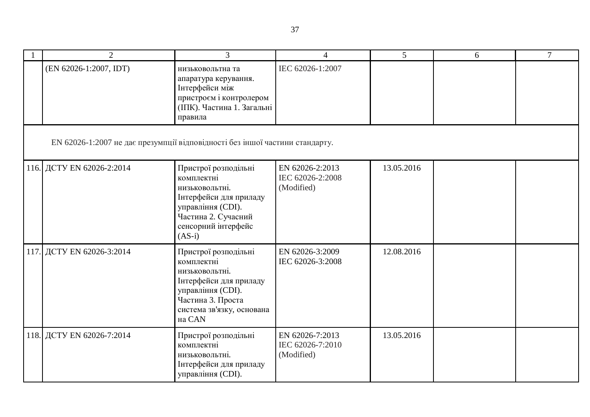| $\overline{2}$                                                               | $\overline{3}$                                                                                                                                                  | $\overline{4}$                                    | $\overline{5}$ | 6 | $\overline{7}$ |
|------------------------------------------------------------------------------|-----------------------------------------------------------------------------------------------------------------------------------------------------------------|---------------------------------------------------|----------------|---|----------------|
| (EN 62026-1:2007, IDT)                                                       | низьковольтна та<br>апаратура керування.<br>Інтерфейси між<br>пристроєм і контролером<br>(ІПК). Частина 1. Загальні<br>правила                                  | IEC 62026-1:2007                                  |                |   |                |
| EN 62026-1:2007 не дає презумпції відповідності без іншої частини стандарту. |                                                                                                                                                                 |                                                   |                |   |                |
| 116. ДСТУ EN 62026-2:2014                                                    | Пристрої розподільні<br>комплектні<br>низьковольтні.<br>Інтерфейси для приладу<br>управління (CDI).<br>Частина 2. Сучасний<br>сенсорний інтерфейс<br>$(AS-i)$   | EN 62026-2:2013<br>IEC 62026-2:2008<br>(Modified) | 13.05.2016     |   |                |
| 117. ДСТУ EN 62026-3:2014                                                    | Пристрої розподільні<br>комплектні<br>низьковольтні.<br>Інтерфейси для приладу<br>управління (CDI).<br>Частина 3. Проста<br>система зв'язку, основана<br>на CAN | EN 62026-3:2009<br>IEC 62026-3:2008               | 12.08.2016     |   |                |
| 118. ДСТУ EN 62026-7:2014                                                    | Пристрої розподільні<br>комплектні<br>низьковольтні.<br>Інтерфейси для приладу<br>управління (CDI).                                                             | EN 62026-7:2013<br>IEC 62026-7:2010<br>(Modified) | 13.05.2016     |   |                |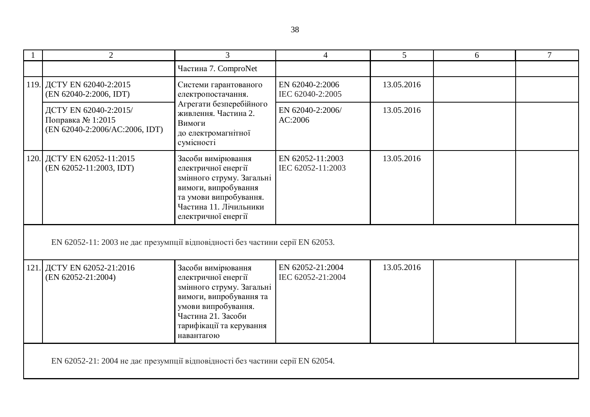| $\overline{2}$                                                                | $\overline{3}$                                                                                                                                                                           | $\overline{4}$                        | 5          | 6 | $\overline{7}$ |  |  |
|-------------------------------------------------------------------------------|------------------------------------------------------------------------------------------------------------------------------------------------------------------------------------------|---------------------------------------|------------|---|----------------|--|--|
|                                                                               | Частина 7. ComproNet                                                                                                                                                                     |                                       |            |   |                |  |  |
| 119. ДСТУ EN 62040-2:2015<br>(EN 62040-2:2006, IDT)                           | Системи гарантованого<br>електропостачання.<br>Агрегати безперебійного<br>живлення. Частина 2.<br>Вимоги<br>до електромагнітної<br>сумісності                                            | EN 62040-2:2006<br>IEC 62040-2:2005   | 13.05.2016 |   |                |  |  |
| ДСТУ EN 62040-2:2015/<br>Поправка № 1:2015<br>(EN 62040-2:2006/AC:2006, IDT)  |                                                                                                                                                                                          | EN 62040-2:2006/<br>AC:2006           | 13.05.2016 |   |                |  |  |
| 120. ДСТУ EN 62052-11:2015<br>(EN 62052-11:2003, IDT)                         | Засоби вимірювання<br>електричної енергії<br>змінного струму. Загальні<br>вимоги, випробування<br>та умови випробування.<br>Частина 11. Лічильники<br>електричної енергії                | EN 62052-11:2003<br>IEC 62052-11:2003 | 13.05.2016 |   |                |  |  |
| EN 62052-11: 2003 не дає презумпції відповідності без частини серії EN 62053. |                                                                                                                                                                                          |                                       |            |   |                |  |  |
| 121. ДСТУ EN 62052-21:2016<br>(EN 62052-21:2004)                              | Засоби вимірювання<br>електричної енергії<br>змінного струму. Загальні<br>вимоги, випробування та<br>умови випробування.<br>Частина 21. Засоби<br>тарифікації та керування<br>навантагою | EN 62052-21:2004<br>IEC 62052-21:2004 | 13.05.2016 |   |                |  |  |
| EN 62052-21: 2004 не дає презумпції відповідності без частини серії EN 62054. |                                                                                                                                                                                          |                                       |            |   |                |  |  |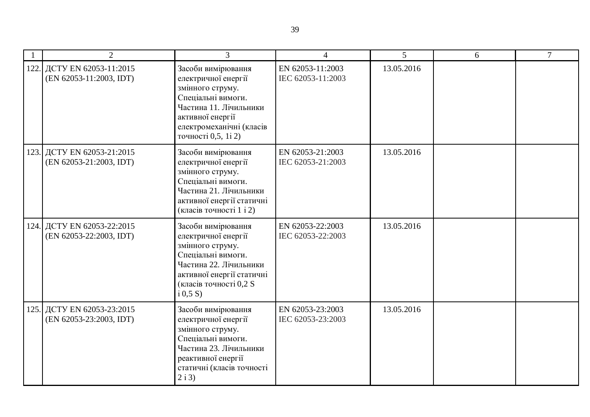| $\overline{2}$                                        | 3                                                                                                                                                                                    | $\overline{4}$                        | $\mathfrak{S}$ | 6 | $\overline{7}$ |
|-------------------------------------------------------|--------------------------------------------------------------------------------------------------------------------------------------------------------------------------------------|---------------------------------------|----------------|---|----------------|
| 122. ДСТУ EN 62053-11:2015<br>(EN 62053-11:2003, IDT) | Засоби вимірювання<br>електричної енергії<br>змінного струму.<br>Спеціальні вимоги.<br>Частина 11. Лічильники<br>активної енергії<br>електромеханічні (класів<br>точності 0,5, 1і 2) | EN 62053-11:2003<br>IEC 62053-11:2003 | 13.05.2016     |   |                |
| 123. ДСТУ EN 62053-21:2015<br>(EN 62053-21:2003, IDT) | Засоби вимірювання<br>електричної енергії<br>змінного струму.<br>Спеціальні вимоги.<br>Частина 21. Лічильники<br>активної енергії статичні<br>(класів точності 1 і 2)                | EN 62053-21:2003<br>IEC 62053-21:2003 | 13.05.2016     |   |                |
| 124. ДСТУ EN 62053-22:2015<br>(EN 62053-22:2003, IDT) | Засоби вимірювання<br>електричної енергії<br>змінного струму.<br>Спеціальні вимоги.<br>Частина 22. Лічильники<br>активної енергії статичні<br>(класів точності 0,2 S<br>i(0,5S)      | EN 62053-22:2003<br>IEC 62053-22:2003 | 13.05.2016     |   |                |
| 125. ДСТУ EN 62053-23:2015<br>(EN 62053-23:2003, IDT) | Засоби вимірювання<br>електричної енергії<br>змінного струму.<br>Спеціальні вимоги.<br>Частина 23. Лічильники<br>реактивної енергії<br>статичні (класів точності<br>2i3)             | EN 62053-23:2003<br>IEC 62053-23:2003 | 13.05.2016     |   |                |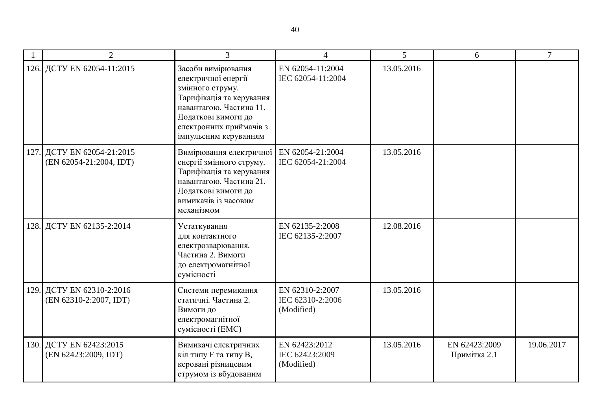| $\overline{2}$                                        | $\mathcal{R}$                                                                                                                                                                                   | 4                                                 | 5          | 6                             | $\tau$     |
|-------------------------------------------------------|-------------------------------------------------------------------------------------------------------------------------------------------------------------------------------------------------|---------------------------------------------------|------------|-------------------------------|------------|
| 126. ДСТУ EN 62054-11:2015                            | Засоби вимірювання<br>електричної енергії<br>змінного струму.<br>Тарифікація та керування<br>навантагою. Частина 11.<br>Додаткові вимоги до<br>електронних приймачів з<br>імпульсним керуванням | EN 62054-11:2004<br>IEC 62054-11:2004             | 13.05.2016 |                               |            |
| 127. ДСТУ EN 62054-21:2015<br>(EN 62054-21:2004, IDT) | Вимірювання електричної<br>енергії змінного струму.<br>Тарифікація та керування<br>навантагою. Частина 21.<br>Додаткові вимоги до<br>вимикачів із часовим<br>механізмом                         | EN 62054-21:2004<br>IEC 62054-21:2004             | 13.05.2016 |                               |            |
| 128. ДСТУ EN 62135-2:2014                             | Устаткування<br>для контактного<br>електрозварювання.<br>Частина 2. Вимоги<br>до електромагнітної<br>сумісності                                                                                 | EN 62135-2:2008<br>IEC 62135-2:2007               | 12.08.2016 |                               |            |
| 129. ДСТУ EN 62310-2:2016<br>(EN 62310-2:2007, IDT)   | Системи перемикання<br>статичні. Частина 2.<br>Вимоги до<br>електромагнітної<br>сумісності (ЕМС)                                                                                                | EN 62310-2:2007<br>IEC 62310-2:2006<br>(Modified) | 13.05.2016 |                               |            |
| 130. ДСТУ EN 62423:2015<br>(EN 62423:2009, IDT)       | Вимикачі електричних<br>кіл типу F та типу B,<br>керовані різницевим<br>струмом із вбудованим                                                                                                   | EN 62423:2012<br>IEC 62423:2009<br>(Modified)     | 13.05.2016 | EN 62423:2009<br>Примітка 2.1 | 19.06.2017 |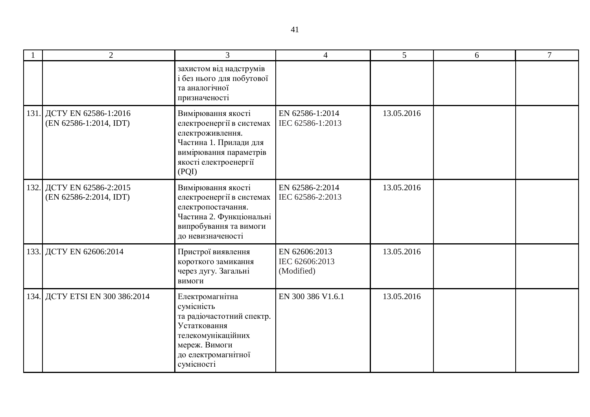| $\overline{2}$                                      | 3                                                                                                                                                         |                                               | 5          | 6 | $\overline{7}$ |
|-----------------------------------------------------|-----------------------------------------------------------------------------------------------------------------------------------------------------------|-----------------------------------------------|------------|---|----------------|
|                                                     | захистом від надструмів<br>і без нього для побутової<br>та аналогічної<br>призначеності                                                                   |                                               |            |   |                |
| 131. ДСТУ EN 62586-1:2016<br>(EN 62586-1:2014, IDT) | Вимірювання якості<br>електроенергії в системах<br>електроживлення.<br>Частина 1. Прилади для<br>вимірювання параметрів<br>якості електроенергії<br>(PQI) | EN 62586-1:2014<br>IEC 62586-1:2013           | 13.05.2016 |   |                |
| 132. ДСТУ EN 62586-2:2015<br>(EN 62586-2:2014, IDT) | Вимірювання якості<br>електроенергії в системах<br>електропостачання.<br>Частина 2. Функціональні<br>випробування та вимоги<br>до невизначеності          | EN 62586-2:2014<br>IEC 62586-2:2013           | 13.05.2016 |   |                |
| 133. ДСТУ EN 62606:2014                             | Пристрої виявлення<br>короткого замикання<br>через дугу. Загальні<br>вимоги                                                                               | EN 62606:2013<br>IEC 62606:2013<br>(Modified) | 13.05.2016 |   |                |
| 134. ДСТУ ETSI EN 300 386:2014                      | Електромагнітна<br>сумісність<br>та радіочастотний спектр.<br>Устатковання<br>телекомунікаційних<br>мереж. Вимоги<br>до електромагнітної<br>сумісності    | EN 300 386 V1.6.1                             | 13.05.2016 |   |                |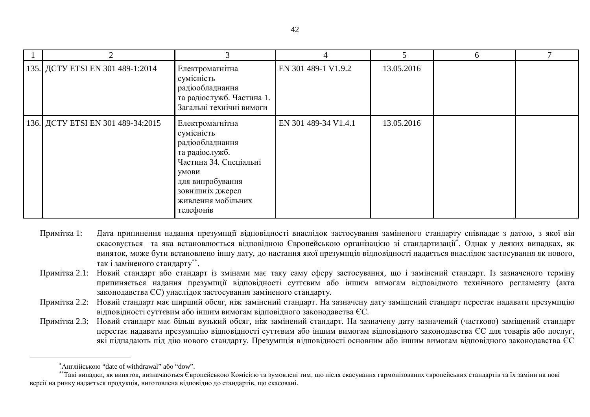|                                   |                                                                                                                                                                                  |                      |            | 6 |  |
|-----------------------------------|----------------------------------------------------------------------------------------------------------------------------------------------------------------------------------|----------------------|------------|---|--|
| 135. ДСТУ ETSI EN 301 489-1:2014  | Електромагнітна<br>сумісність<br>радіообладнання<br>та радіослужб. Частина 1.<br>Загальні технічні вимоги                                                                        | EN 301 489-1 V1.9.2  | 13.05.2016 |   |  |
| 136. ДСТУ ETSI EN 301 489-34:2015 | Електромагнітна<br>сумісність<br>радіообладнання<br>та радіослужб.<br>Частина 34. Спеціальні<br>умови<br>для випробування<br>зовнішніх джерел<br>живлення мобільних<br>телефонів | EN 301 489-34 V1.4.1 | 13.05.2016 |   |  |

- Примітка 1: Дата припинення надання презумпції відповідності внаслідок застосування заміненого стандарту співпадає з датою, з якої він скасовується та яка встановлюється відповідною Європейською організацією зі стандартизації<sup>\*</sup>. Однак у деяких випадках, як виняток, може бути встановлено іншу дату, до настання якої презумпція відповідності надається внаслідок застосування як нового, так і заміненого стандарту\*\*.
- Примітка 2.1: Новий стандарт або стандарт із змінами має таку саму сферу застосування, що і замінений стандарт. Із зазначеного терміну припиняється надання презумпції відповідності суттєвим або іншим вимогам відповідного технічного регламенту (акта законодавства ЄС) унаслідок застосування заміненого стандарту.
- Примітка 2.2: Новий стандарт має ширший обсяг, ніж замінений стандарт. На зазначену дату заміщений стандарт перестає надавати презумпцію відповідності суттєвим або іншим вимогам відповідного законодавства ЄС.
- Примітка 2.3: Новий стандарт має більш вузький обсяг, ніж замінений стандарт. На зазначену дату зазначений (частково) заміщений стандарт перестає надавати презумпцію відповідності суттєвим або іншим вимогам відповідного законодавства ЄС для товарів або послуг, які пілпалають піл лію нового станларту. Презумпція вілповілності основним або іншим вимогам вілповілного законолавства ЄС

 $\overline{a}$ 

<sup>&</sup>lt;u> \*Англійською</u> "date of withdrawal" або "dow".

<sup>••</sup>Такі випадки, як виняток, визначаються Європейською Комісією та зумовлені тим, що після скасування гармонізованих європейських стандартів та їх заміни на нові версії на ринку надається продукція, виготовлена відповідно до стандартів, що скасовані.